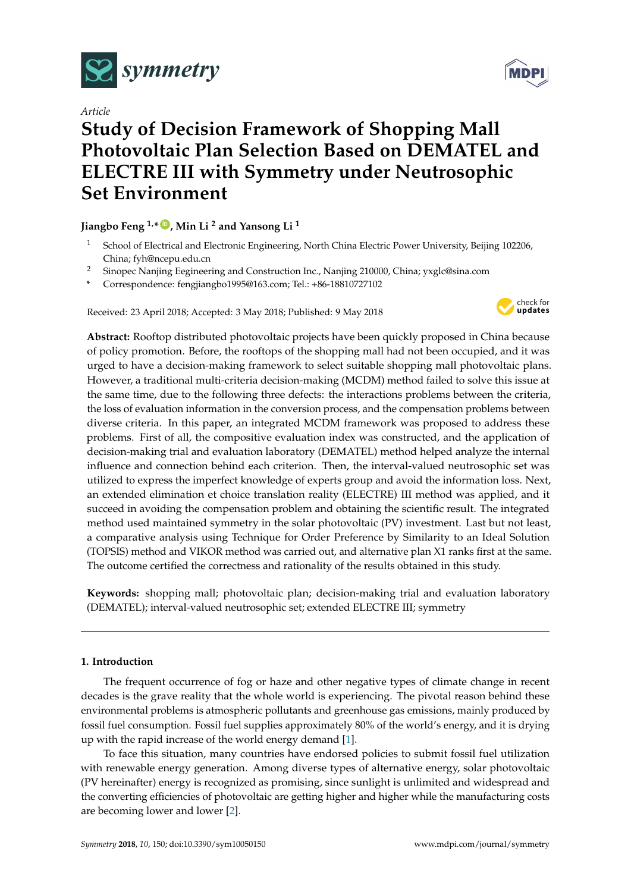

*Article*

# **Study of Decision Framework of Shopping Mall Photovoltaic Plan Selection Based on DEMATEL and ELECTRE III with Symmetry under Neutrosophic Set Environment**

# **Jiangbo Feng 1,\* [ID](https://orcid.org/0000-0002-4004-9170) , Min Li <sup>2</sup> and Yansong Li <sup>1</sup>**

- <sup>1</sup> School of Electrical and Electronic Engineering, North China Electric Power University, Beijing 102206, China; fyh@ncepu.edu.cn
- <sup>2</sup> Sinopec Nanjing Eegineering and Construction Inc., Nanjing 210000, China; yxglc@sina.com
- **\*** Correspondence: fengjiangbo1995@163.com; Tel.: +86-18810727102

Received: 23 April 2018; Accepted: 3 May 2018; Published: 9 May 2018



**Abstract:** Rooftop distributed photovoltaic projects have been quickly proposed in China because of policy promotion. Before, the rooftops of the shopping mall had not been occupied, and it was urged to have a decision-making framework to select suitable shopping mall photovoltaic plans. However, a traditional multi-criteria decision-making (MCDM) method failed to solve this issue at the same time, due to the following three defects: the interactions problems between the criteria, the loss of evaluation information in the conversion process, and the compensation problems between diverse criteria. In this paper, an integrated MCDM framework was proposed to address these problems. First of all, the compositive evaluation index was constructed, and the application of decision-making trial and evaluation laboratory (DEMATEL) method helped analyze the internal influence and connection behind each criterion. Then, the interval-valued neutrosophic set was utilized to express the imperfect knowledge of experts group and avoid the information loss. Next, an extended elimination et choice translation reality (ELECTRE) III method was applied, and it succeed in avoiding the compensation problem and obtaining the scientific result. The integrated method used maintained symmetry in the solar photovoltaic (PV) investment. Last but not least, a comparative analysis using Technique for Order Preference by Similarity to an Ideal Solution (TOPSIS) method and VIKOR method was carried out, and alternative plan X1 ranks first at the same. The outcome certified the correctness and rationality of the results obtained in this study.

**Keywords:** shopping mall; photovoltaic plan; decision-making trial and evaluation laboratory (DEMATEL); interval-valued neutrosophic set; extended ELECTRE III; symmetry

# **1. Introduction**

The frequent occurrence of fog or haze and other negative types of climate change in recent decades is the grave reality that the whole world is experiencing. The pivotal reason behind these environmental problems is atmospheric pollutants and greenhouse gas emissions, mainly produced by fossil fuel consumption. Fossil fuel supplies approximately 80% of the world's energy, and it is drying up with the rapid increase of the world energy demand [\[1\]](#page-18-0).

To face this situation, many countries have endorsed policies to submit fossil fuel utilization with renewable energy generation. Among diverse types of alternative energy, solar photovoltaic (PV hereinafter) energy is recognized as promising, since sunlight is unlimited and widespread and the converting efficiencies of photovoltaic are getting higher and higher while the manufacturing costs are becoming lower and lower [\[2\]](#page-18-1).

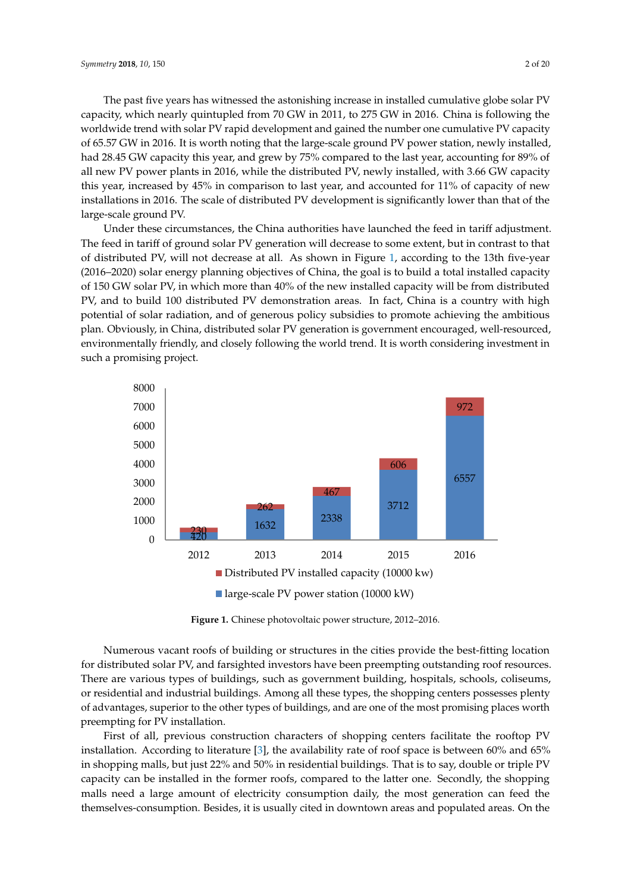The past five years has witnessed the astonishing increase in installed cumulative globe solar PV The past five years has witnessed the astonishing increase in installed cumulative globe solar capacity, which nearly quintupled from 70 GW in 2011, to 275 GW in 2016. China is following the worldwide trend with solar PV rapid development and gained the number one cumulative PV capacity worldwide trend with solar PV rapid development and gained the number one cumulative PV of 65.57 GW in 2016. It is worth noting that the large-scale ground PV power station, newly installed, had 28.45 GW capacity this year, and grew by 75% compared to the last year, accounting for 89% of all new PV power plants in 2016, while the distributed PV, newly installed, with 3.66 GW capacity this year, increased by 45% in comparison to last year, and accounted for  $11\%$  of capacity of new installations in 2016. The scale of distributed PV development is significantly lower than that of the large-scale ground PV. the large-scale ground PV.

Under these circumstances, the China authorities have launched the feed in tariff adjustment. Under these circumstances, the China authorities have launched the feed in tariff adjustment. The feed in tariff of ground solar PV generation will decrease to some extent, but in contrast to that The feed in tariff of ground solar PV generation will decrease to some extent, but in contrast to that of distributed PV, will not decrease at all. As shown in Figure [1,](#page-1-0) according to the 13th five-year (2016–2020) solar energy planning objectives of China, the goal is to build a total installed capacity of 150 GW solar PV, in which more than 40% of the new installed capacity will be from distributed PV, and to build 100 distributed PV demonstration areas. In fact, China is a country with high potential of solar radiation, and of generous policy subsidies to promote achieving the ambitious plan. Obviously, in China, distributed solar PV generation is government encouraged, well-resourced, in China, distributed solar PV generation is government encouraged, well-resourced, environmentally friendly, and closely following the world trend. It is worth considering investment in environmentally friendly, and closely following the world trend. It is worth considering investment such a promising project. in such a promising project.

<span id="page-1-0"></span>

**Figure 1.** Chinese photovoltaic power structure, 2012–2016. **Figure 1.** Chinese photovoltaic power structure, 2012–2016.

Numerous vacant roofs of building or structures in the cities provide the best-fitting location for distributed solar PV, and farsighted investors have been preempting outstanding roof resources. There are various types of buildings, such as government building, hospitals, schools, coliseums, or residential and industrial buildings. Among all these types, the shopping centers possesses plenty of advantages, superior to the other types of buildings, and are one of the most promising places worth preempting for PV installation. preempting for PV installation.

First of all, previous construction characters of shopping centers facilitate the rooftop PV First of all, previous construction characters of shopping centers facilitate the rooftop PV installation. According to literature [\[3](#page-18-2)], the availability rate of roof space is between 60% and 65% shopping malls, but just 22% and 50% in residential buildings. That is to say, double or triple PV in shopping malls, but just 22% and 50% in residential buildings. That is to say, double or triple PV capacity can be installed in the former roofs, compared to the latter one. Secondly, the shopping malls need a large amount of electricity consumption daily, the most generation can feed the themselves-consumption. Besides, it is usually cited in downtown areas and populated areas. On the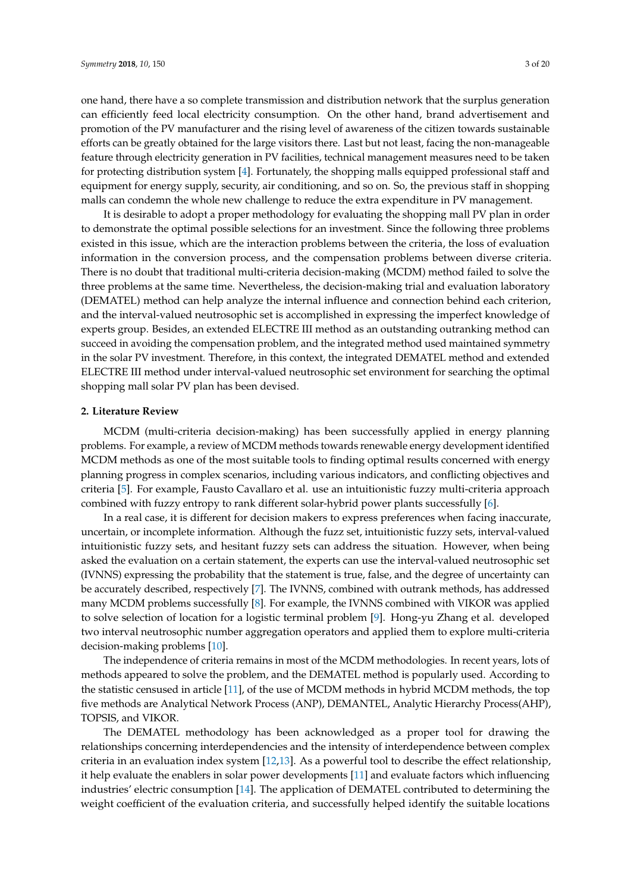one hand, there have a so complete transmission and distribution network that the surplus generation can efficiently feed local electricity consumption. On the other hand, brand advertisement and promotion of the PV manufacturer and the rising level of awareness of the citizen towards sustainable efforts can be greatly obtained for the large visitors there. Last but not least, facing the non-manageable feature through electricity generation in PV facilities, technical management measures need to be taken for protecting distribution system [\[4\]](#page-18-3). Fortunately, the shopping malls equipped professional staff and equipment for energy supply, security, air conditioning, and so on. So, the previous staff in shopping malls can condemn the whole new challenge to reduce the extra expenditure in PV management.

It is desirable to adopt a proper methodology for evaluating the shopping mall PV plan in order to demonstrate the optimal possible selections for an investment. Since the following three problems existed in this issue, which are the interaction problems between the criteria, the loss of evaluation information in the conversion process, and the compensation problems between diverse criteria. There is no doubt that traditional multi-criteria decision-making (MCDM) method failed to solve the three problems at the same time. Nevertheless, the decision-making trial and evaluation laboratory (DEMATEL) method can help analyze the internal influence and connection behind each criterion, and the interval-valued neutrosophic set is accomplished in expressing the imperfect knowledge of experts group. Besides, an extended ELECTRE III method as an outstanding outranking method can succeed in avoiding the compensation problem, and the integrated method used maintained symmetry in the solar PV investment. Therefore, in this context, the integrated DEMATEL method and extended ELECTRE III method under interval-valued neutrosophic set environment for searching the optimal shopping mall solar PV plan has been devised.

## **2. Literature Review**

MCDM (multi-criteria decision-making) has been successfully applied in energy planning problems. For example, a review of MCDM methods towards renewable energy development identified MCDM methods as one of the most suitable tools to finding optimal results concerned with energy planning progress in complex scenarios, including various indicators, and conflicting objectives and criteria [\[5\]](#page-18-4). For example, Fausto Cavallaro et al. use an intuitionistic fuzzy multi-criteria approach combined with fuzzy entropy to rank different solar-hybrid power plants successfully [\[6\]](#page-18-5).

In a real case, it is different for decision makers to express preferences when facing inaccurate, uncertain, or incomplete information. Although the fuzz set, intuitionistic fuzzy sets, interval-valued intuitionistic fuzzy sets, and hesitant fuzzy sets can address the situation. However, when being asked the evaluation on a certain statement, the experts can use the interval-valued neutrosophic set (IVNNS) expressing the probability that the statement is true, false, and the degree of uncertainty can be accurately described, respectively [\[7\]](#page-18-6). The IVNNS, combined with outrank methods, has addressed many MCDM problems successfully [\[8\]](#page-18-7). For example, the IVNNS combined with VIKOR was applied to solve selection of location for a logistic terminal problem [\[9\]](#page-18-8). Hong-yu Zhang et al. developed two interval neutrosophic number aggregation operators and applied them to explore multi-criteria decision-making problems [\[10\]](#page-18-9).

The independence of criteria remains in most of the MCDM methodologies. In recent years, lots of methods appeared to solve the problem, and the DEMATEL method is popularly used. According to the statistic censused in article [\[11\]](#page-18-10), of the use of MCDM methods in hybrid MCDM methods, the top five methods are Analytical Network Process (ANP), DEMANTEL, Analytic Hierarchy Process(AHP), TOPSIS, and VIKOR.

The DEMATEL methodology has been acknowledged as a proper tool for drawing the relationships concerning interdependencies and the intensity of interdependence between complex criteria in an evaluation index system [\[12,](#page-18-11)[13\]](#page-18-12). As a powerful tool to describe the effect relationship, it help evaluate the enablers in solar power developments [\[11\]](#page-18-10) and evaluate factors which influencing industries' electric consumption [\[14\]](#page-18-13). The application of DEMATEL contributed to determining the weight coefficient of the evaluation criteria, and successfully helped identify the suitable locations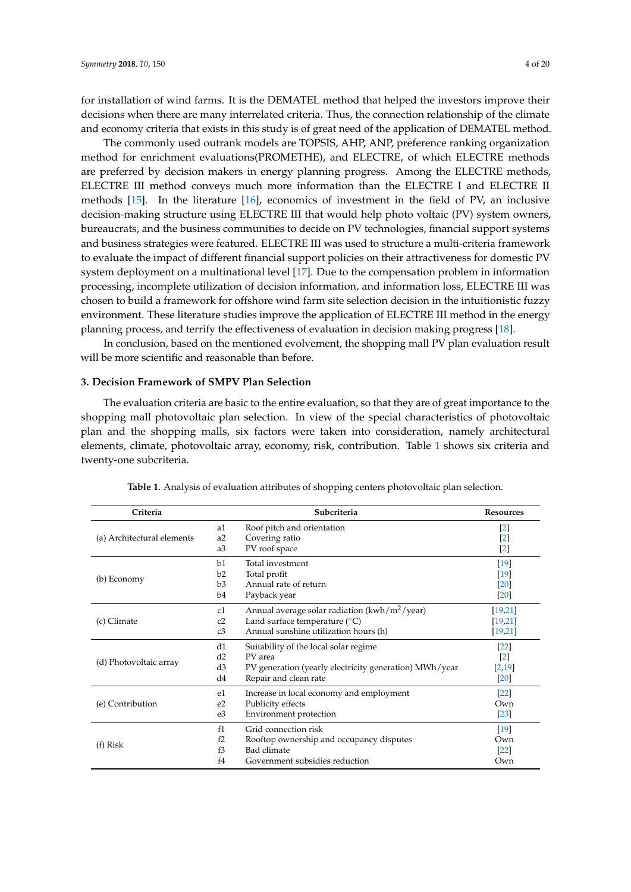for installation of wind farms. It is the DEMATEL method that helped the investors improve their decisions when there are many interrelated criteria. Thus, the connection relationship of the climate and economy criteria that exists in this study is of great need of the application of DEMATEL method.

The commonly used outrank models are TOPSIS, AHP, ANP, preference ranking organization method for enrichment evaluations(PROMETHE), and ELECTRE, of which ELECTRE methods are preferred by decision makers in energy planning progress. Among the ELECTRE methods, ELECTRE III method conveys much more information than the ELECTRE I and ELECTRE II methods [\[15\]](#page-18-14). In the literature [\[16\]](#page-18-15), economics of investment in the field of PV, an inclusive decision-making structure using ELECTRE III that would help photo voltaic (PV) system owners, bureaucrats, and the business communities to decide on PV technologies, financial support systems and business strategies were featured. ELECTRE III was used to structure a multi-criteria framework to evaluate the impact of different financial support policies on their attractiveness for domestic PV system deployment on a multinational level [\[17\]](#page-19-0). Due to the compensation problem in information processing, incomplete utilization of decision information, and information loss, ELECTRE III was chosen to build a framework for offshore wind farm site selection decision in the intuitionistic fuzzy environment. These literature studies improve the application of ELECTRE III method in the energy planning process, and terrify the effectiveness of evaluation in decision making progress [\[18\]](#page-19-1).

In conclusion, based on the mentioned evolvement, the shopping mall PV plan evaluation result will be more scientific and reasonable than before.

#### **3. Decision Framework of SMPV Plan Selection**

The evaluation criteria are basic to the entire evaluation, so that they are of great importance to the shopping mall photovoltaic plan selection. In view of the special characteristics of photovoltaic plan and the shopping malls, six factors were taken into consideration, namely architectural elements, climate, photovoltaic array, economy, risk, contribution. Table [1](#page-3-0) shows six criteria and twenty-one subcriteria.

<span id="page-3-0"></span>

| Criteria                   |                | Subcriteria                                            | <b>Resources</b>   |
|----------------------------|----------------|--------------------------------------------------------|--------------------|
|                            | a1             | Roof pitch and orientation                             | [2]                |
| (a) Architectural elements | a2             | Covering ratio                                         | $\lceil 2 \rceil$  |
|                            | a3             | PV roof space                                          | $\lceil 2 \rceil$  |
|                            | b1             | Total investment                                       | [19]               |
| (b) Economy                | b2             | Total profit                                           | [19]               |
|                            | b3             | Annual rate of return                                  | $\lceil 20 \rceil$ |
|                            | b4             | Payback year                                           | [20]               |
|                            | c1             | Annual average solar radiation $(kwh/m^2/\text{year})$ | [19,21]            |
| (c) Climate                | c2             | Land surface temperature $(^{\circ}C)$                 | [19,21]            |
|                            | c3             | Annual sunshine utilization hours (h)                  | [19,21]            |
|                            | d1             | Suitability of the local solar regime                  | $[22]$             |
| (d) Photovoltaic array     | d2             | PV area                                                | $\lceil 2 \rceil$  |
|                            | d3             | PV generation (yearly electricity generation) MWh/year | [2,19]             |
|                            | d4             | Repair and clean rate                                  | [20]               |
|                            | e <sub>1</sub> | Increase in local economy and employment               | $\left[22\right]$  |
| (e) Contribution           | e <sub>2</sub> | Publicity effects                                      | Own                |
|                            | e3             | Environment protection                                 | $[23]$             |
|                            | f1             | Grid connection risk                                   | [19]               |
| $(f)$ Risk                 | f2             | Rooftop ownership and occupancy disputes               | Own                |
|                            | f3             | Bad climate                                            | $\left[22\right]$  |
|                            | f <sub>4</sub> | Government subsidies reduction                         | Own                |

**Table 1.** Analysis of evaluation attributes of shopping centers photovoltaic plan selection.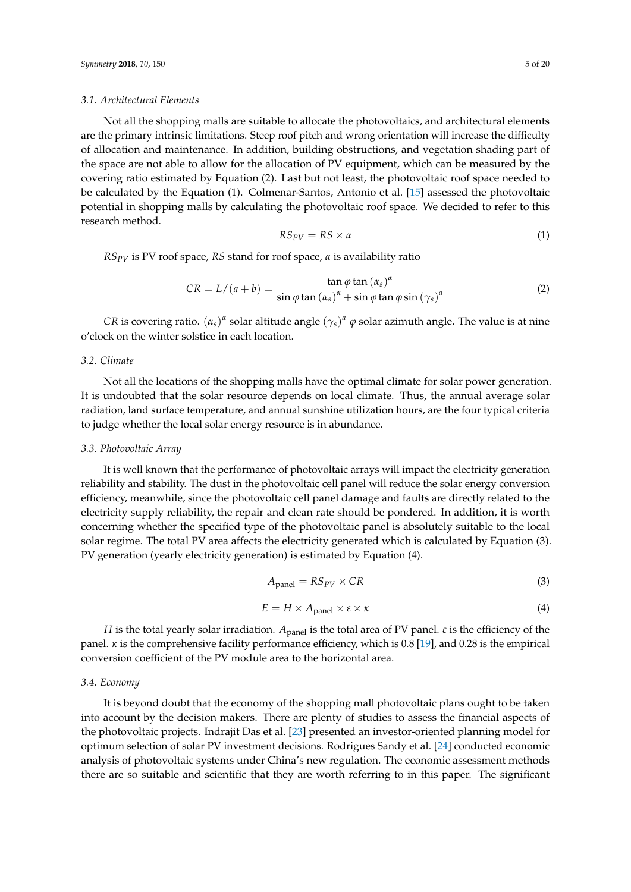#### *3.1. Architectural Elements*

Not all the shopping malls are suitable to allocate the photovoltaics, and architectural elements are the primary intrinsic limitations. Steep roof pitch and wrong orientation will increase the difficulty of allocation and maintenance. In addition, building obstructions, and vegetation shading part of the space are not able to allow for the allocation of PV equipment, which can be measured by the covering ratio estimated by Equation (2). Last but not least, the photovoltaic roof space needed to be calculated by the Equation (1). Colmenar-Santos, Antonio et al. [\[15\]](#page-18-14) assessed the photovoltaic potential in shopping malls by calculating the photovoltaic roof space. We decided to refer to this research method.

$$
RS_{PV} = RS \times \alpha \tag{1}
$$

*RSPV* is PV roof space, *RS* stand for roof space, *α* is availability ratio

$$
CR = L/(a+b) = \frac{\tan \varphi \tan (\alpha_s)^{\alpha}}{\sin \varphi \tan (\alpha_s)^{\alpha} + \sin \varphi \tan \varphi \sin (\gamma_s)^{a}}
$$
(2)

*CR* is covering ratio.  $(\alpha_s)^{\alpha}$  solar altitude angle  $(\gamma_s)^a$   $\varphi$  solar azimuth angle. The value is at nine o'clock on the winter solstice in each location.

#### *3.2. Climate*

Not all the locations of the shopping malls have the optimal climate for solar power generation. It is undoubted that the solar resource depends on local climate. Thus, the annual average solar radiation, land surface temperature, and annual sunshine utilization hours, are the four typical criteria to judge whether the local solar energy resource is in abundance.

## *3.3. Photovoltaic Array*

It is well known that the performance of photovoltaic arrays will impact the electricity generation reliability and stability. The dust in the photovoltaic cell panel will reduce the solar energy conversion efficiency, meanwhile, since the photovoltaic cell panel damage and faults are directly related to the electricity supply reliability, the repair and clean rate should be pondered. In addition, it is worth concerning whether the specified type of the photovoltaic panel is absolutely suitable to the local solar regime. The total PV area affects the electricity generated which is calculated by Equation (3). PV generation (yearly electricity generation) is estimated by Equation (4).

$$
A_{\text{panel}} = R S_{PV} \times CR \tag{3}
$$

$$
E = H \times A_{\text{panel}} \times \varepsilon \times \kappa \tag{4}
$$

*H* is the total yearly solar irradiation. *A*<sub>panel</sub> is the total area of PV panel. *ε* is the efficiency of the panel.  $\kappa$  is the comprehensive facility performance efficiency, which is 0.8 [\[19\]](#page-19-2), and 0.28 is the empirical conversion coefficient of the PV module area to the horizontal area.

#### *3.4. Economy*

It is beyond doubt that the economy of the shopping mall photovoltaic plans ought to be taken into account by the decision makers. There are plenty of studies to assess the financial aspects of the photovoltaic projects. Indrajit Das et al. [\[23\]](#page-19-6) presented an investor-oriented planning model for optimum selection of solar PV investment decisions. Rodrigues Sandy et al. [\[24\]](#page-19-7) conducted economic analysis of photovoltaic systems under China's new regulation. The economic assessment methods there are so suitable and scientific that they are worth referring to in this paper. The significant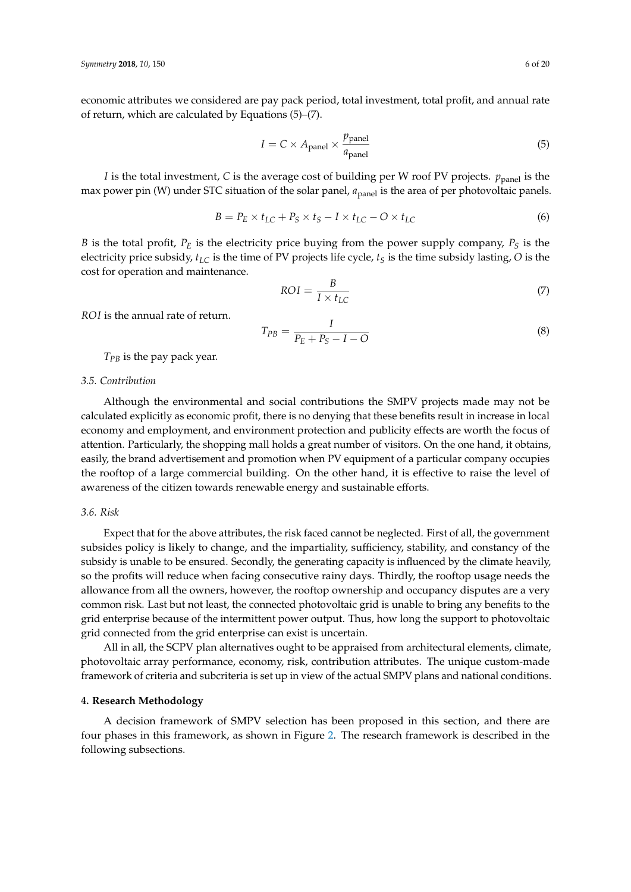economic attributes we considered are pay pack period, total investment, total profit, and annual rate of return, which are calculated by Equations (5)–(7).

$$
I = C \times A_{\text{panel}} \times \frac{p_{\text{panel}}}{a_{\text{panel}}}
$$
 (5)

*I* is the total investment, *C* is the average cost of building per W roof PV projects.  $p_{\text{panel}}$  is the max power pin (W) under STC situation of the solar panel,  $a_{\text{panel}}$  is the area of per photovoltaic panels.

$$
B = P_E \times t_{LC} + P_S \times t_S - I \times t_{LC} - O \times t_{LC}
$$
 (6)

*B* is the total profit, *P<sup>E</sup>* is the electricity price buying from the power supply company, *P<sup>S</sup>* is the electricity price subsidy, *tLC* is the time of PV projects life cycle, *t<sup>S</sup>* is the time subsidy lasting, *O* is the cost for operation and maintenance.

$$
ROI = \frac{B}{I \times t_{LC}}
$$
 (7)

*ROI* is the annual rate of return.

$$
T_{PB} = \frac{I}{P_E + P_S - I - O}
$$
\n<sup>(8)</sup>

*TPB* is the pay pack year.

## *3.5. Contribution*

Although the environmental and social contributions the SMPV projects made may not be calculated explicitly as economic profit, there is no denying that these benefits result in increase in local economy and employment, and environment protection and publicity effects are worth the focus of attention. Particularly, the shopping mall holds a great number of visitors. On the one hand, it obtains, easily, the brand advertisement and promotion when PV equipment of a particular company occupies the rooftop of a large commercial building. On the other hand, it is effective to raise the level of awareness of the citizen towards renewable energy and sustainable efforts.

## *3.6. Risk*

Expect that for the above attributes, the risk faced cannot be neglected. First of all, the government subsides policy is likely to change, and the impartiality, sufficiency, stability, and constancy of the subsidy is unable to be ensured. Secondly, the generating capacity is influenced by the climate heavily, so the profits will reduce when facing consecutive rainy days. Thirdly, the rooftop usage needs the allowance from all the owners, however, the rooftop ownership and occupancy disputes are a very common risk. Last but not least, the connected photovoltaic grid is unable to bring any benefits to the grid enterprise because of the intermittent power output. Thus, how long the support to photovoltaic grid connected from the grid enterprise can exist is uncertain.

All in all, the SCPV plan alternatives ought to be appraised from architectural elements, climate, photovoltaic array performance, economy, risk, contribution attributes. The unique custom-made framework of criteria and subcriteria is set up in view of the actual SMPV plans and national conditions.

# **4. Research Methodology**

A decision framework of SMPV selection has been proposed in this section, and there are four phases in this framework, as shown in Figure [2.](#page-6-0) The research framework is described in the following subsections.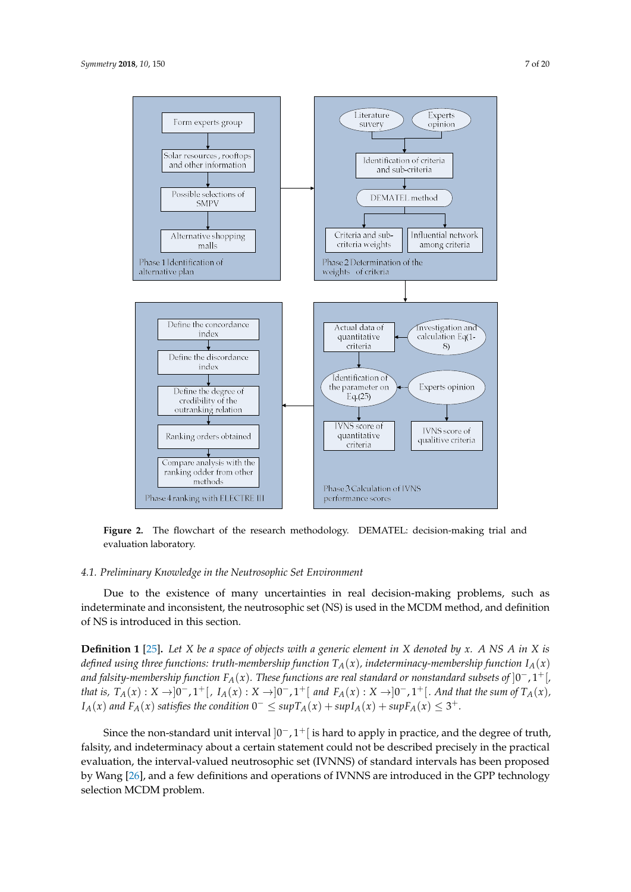<span id="page-6-0"></span>

**Figure 2.** The flowchart of the research methodology. DEMATEL: decision-making trial and **Figure 2.** The flowchart of the research methodology. DEMATEL: decision-making trial and evaluation laboratory. evaluation laboratory.

#### $\mathcal{L}$  to the existence of many uncertainties in real decision-making problems, such as  $\mathcal{L}$ *4.1. Preliminary Knowledge in the Neutrosophic Set Environment*

Due to the existence of many uncertainties in real decision-making problems, such as indeterminate and inconsistent, the neutrosophic set (NS) is used in the MCDM method, and definition **Definition 1** [25]**.** *Let X be a space of objects with a generic element in X denoted by x . A NS A in*  of NS is introduced in this section.

**Definition 1** [\[25\]](#page-19-8). Let X be a space of objects with a generic element in X denoted by x. A NS A in X is defined using three functions: truth-membership function  $T_A(x)$ , indeterminacy-membership function  $I_A(x)$ and falsity-membership function  $F_A(x)$ . These functions are real standard or nonstandard subsets of  $]0^-,1^+[$ that is,  $T_A(x): X \to ]0^-, 1^+[$ ,  $I_A(x): X \to ]0^-, 1^+[$  and  $F_A(x): X \to ]0^-, 1^+[$ . And that the sum of  $T_A(x)$ ,  $I_A(x)$  and  $F_A(x)$  satisfies the condition  $0^- \leq \sup T_A(x) + \sup I_A(x) + \sup F_A(x) \leq 3^+$ .

Since the non-standard unit interval  $]0^-,1^+[$  is hard to apply in practice, and the degree of truth, falsity, and indeterminacy about a certain statement could not be described precisely in the practical falsity, and indeterminacy about a certain statement could not be described precisely in the practical evaluation, the interval-valued neutrosophic set (IVNNS) of standard intervals has been proposed by Wang [\[26\]](#page-19-9), and a few definitions and operations of IVNNS are introduced in the GPP technology selection MCDM problem.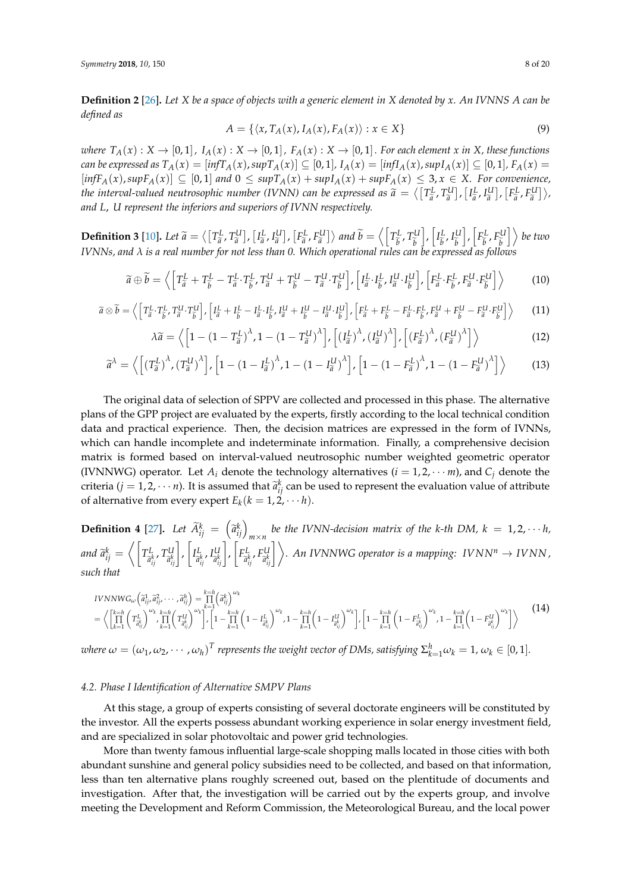**Definition 2** [\[26\]](#page-19-9)**.** *Let X be a space of objects with a generic element in X denoted by x. An IVNNS A can be defined as*

$$
A = \{ \langle x, T_A(x), I_A(x), F_A(x) \rangle : x \in X \}
$$
\n<sup>(9)</sup>

where  $T_A(x): X \to [0,1]$ ,  $I_A(x): X \to [0,1]$ ,  $F_A(x): X \to [0,1]$ . For each element x in X, these functions can be expressed as  $T_A(x) = [inf T_A(x), sup T_A(x)] \subseteq [0,1], I_A(x) = [inf I_A(x), sup I_A(x)] \subseteq [0,1], F_A(x) =$  $[\inf F_A(x), \sup F_A(x)] \subseteq [0,1]$  and  $0 \leq \sup T_A(x) + \sup I_A(x) + \sup F_A(x) \leq 3, x \in X$ . For convenience, the interval-valued neutrosophic number (IVNN) can be expressed as  $\widetilde{a} = \langle [T_{\widetilde{a}}^L, T_{\widetilde{a}}^U], [I_{\widetilde{a}}^L, I_{\widetilde{a}}^U], [F_{\widetilde{a}}^L, F_{\widetilde{a}}^U] \rangle$ ,  $[\Gamma_{\widetilde{a}}^L, \Gamma_{\widetilde{a}}^U] \rangle$ ,  $[\Gamma_{\widetilde{a}}^L, \Gamma_{\widetilde{a}}^U] \rangle$ , *and L*, *U represent the inferiors and superiors of IVNN respectively.*

**Definition 3** [\[10\]](#page-18-9). Let  $\widetilde{a} = \langle \begin{bmatrix} T_{\widetilde{a}}^L, T_{\widetilde{a}}^U \end{bmatrix}, \begin{bmatrix} I_{\widetilde{a}}^L, I_{\widetilde{a}}^U \end{bmatrix}, \begin{bmatrix} F_{\widetilde{a}}^L, F_{\widetilde{a}}^U \end{bmatrix} \rangle$  and  $\widetilde{b} = \langle \begin{bmatrix} T_{\widetilde{b}}^L \\ T_{\widetilde{b}}^U \end{bmatrix} \rangle$  $\tilde{b}$ <sup>,</sup>  $T_{\tilde{b}}^{U}$ e*b*  $\bigg|, \bigg| I_{\widetilde{h}}^L$  $\begin{bmatrix} L & L^U \\ \tilde{b} & \tilde{b} \end{bmatrix}$ e*b*  $\bigg|, \bigg| F_{\widetilde{\iota}}^L$  $\frac{1}{\tilde{b}}, F_{\tilde{b}}^{U}$  $\left(\begin{matrix} U \\ \widetilde{b} \end{matrix}\right]$  *be two*<br>larve *IVNNs, and λ is a real number for not less than 0. Which operational rules can be expressed as follows*

$$
\widetilde{a} \oplus \widetilde{b} = \left\langle \left[ T_{\widetilde{a}}^{L} + T_{\widetilde{b}}^{L} - T_{\widetilde{a}}^{L} \cdot T_{\widetilde{b}}^{L}, T_{\widetilde{a}}^{U} + T_{\widetilde{b}}^{U} - T_{\widetilde{a}}^{U} \cdot T_{\widetilde{b}}^{U} \right], \left[ I_{\widetilde{a}}^{L} \cdot I_{\widetilde{b}}^{L}, I_{\widetilde{a}}^{U} \cdot I_{\widetilde{b}}^{U} \right], \left[ F_{\widetilde{a}}^{L} \cdot F_{\widetilde{b}}^{L}, F_{\widetilde{a}}^{U} \cdot F_{\widetilde{b}}^{U} \right] \right\rangle
$$
\n(10)

$$
\widetilde{a}\otimes\widetilde{b}=\left\langle \left[T_{\widetilde{a}}^{L}\cdot T_{\widetilde{b}}^{L},T_{\widetilde{a}}^{U}\cdot T_{\widetilde{b}}^{U}\right],\left[I_{\widetilde{a}}^{L}+I_{\widetilde{b}}^{L}-I_{\widetilde{a}}^{L}\cdot I_{\widetilde{b}}^{L},I_{\widetilde{a}}^{U}+I_{\widetilde{b}}^{U}-I_{\widetilde{a}}^{U}\cdot I_{\widetilde{b}}^{U}\right],\left[I_{\widetilde{a}}^{L}+I_{\widetilde{b}}^{L}-I_{\widetilde{a}}^{L}\cdot F_{\widetilde{b}}^{L},I_{\widetilde{a}}^{U}+I_{\widetilde{b}}^{U}-I_{\widetilde{a}}^{U}\cdot I_{\widetilde{b}}^{U}\right]\right\rangle
$$
\n(11)

$$
\lambda \widetilde{a} = \left\langle \left[ 1 - \left( 1 - T_{\widetilde{a}}^L \right)^{\lambda}, 1 - \left( 1 - T_{\widetilde{a}}^U \right)^{\lambda} \right], \left[ \left( I_{\widetilde{a}}^L \right)^{\lambda}, \left( I_{\widetilde{a}}^U \right)^{\lambda} \right], \left[ \left( F_{\widetilde{a}}^L \right)^{\lambda}, \left( F_{\widetilde{a}}^U \right)^{\lambda} \right] \right\rangle \tag{12}
$$

$$
\widetilde{a}^{\lambda} = \left\langle \left[ \left( T_{\widetilde{a}}^{L} \right)^{\lambda}, \left( T_{\widetilde{a}}^{U} \right)^{\lambda} \right], \left[ 1 - \left( 1 - I_{\widetilde{a}}^{L} \right)^{\lambda}, 1 - \left( 1 - I_{\widetilde{a}}^{U} \right)^{\lambda} \right], \left[ 1 - \left( 1 - F_{\widetilde{a}}^{L} \right)^{\lambda}, 1 - \left( 1 - F_{\widetilde{a}}^{U} \right)^{\lambda} \right] \right\rangle \tag{13}
$$

The original data of selection of SPPV are collected and processed in this phase. The alternative plans of the GPP project are evaluated by the experts, firstly according to the local technical condition data and practical experience. Then, the decision matrices are expressed in the form of IVNNs, which can handle incomplete and indeterminate information. Finally, a comprehensive decision matrix is formed based on interval-valued neutrosophic number weighted geometric operator (IVNNWG) operator. Let  $A_i$  denote the technology alternatives ( $i = 1, 2, \cdots m$ ), and  $C_i$  denote the criteria (*j* = 1, 2, · · · *n*). It is assumed that  $\tilde{a}^k_{ij}$  can be used to represent the evaluation value of attribute of alternative from every expert  $E_k(k = 1, 2, \dots h)$ .

**Definition 4** [\[27\]](#page-19-10). Let  $\widetilde{A}_{ij}^k = (\widetilde{a}_{ij}^k)_{m \times n}$  be the IVNN-decision matrix of the k-th DM,  $k = 1, 2, \cdots h$ , and  $\widetilde{a}_{ij}^{k} = \bigg \langle \bigg \lceil T_{\widetilde{a}_{i}^{k}}^{L}$ e*a k ij* , *T U*  $\begin{bmatrix} \tilde{a}^k_{ij} \end{bmatrix}$ ,  $\begin{bmatrix} I^L_{\tilde{a}^j_{ij}} \end{bmatrix}$ e*a k ij* , *I U*  $\begin{bmatrix} u \\ \tilde{a}^k_{ij} \end{bmatrix}$ ,  $\begin{bmatrix} F_L^L \\ \tilde{a}^l_i \end{bmatrix}$ r<br>*L*<sub>*i*</sub>, *F*<sub>*d*<sup>k</sup></sup><br>*ij*</sub>  $\begin{equation} \begin{aligned} \mathbb{E}^{U} \left\{ \left\| \mathcal{N}_{i} \right\| \leq \lambda \end{aligned} \right\}, \ \textit{An } \textit{IVNNWG} \textit{ operator is a mapping: } \textit{IVNN}^n \rightarrow \textit{IVNN} \textit{.}$ *such that*

$$
IVNNWG_{\omega}\left(\tilde{a}_{ij}^{1},\tilde{a}_{ij}^{2},\cdots,\tilde{a}_{ij}^{h}\right) = \prod_{k=1}^{k=h} \left(\tilde{a}_{ij}^{k}\right)^{\omega_{k}}
$$
\n
$$
= \left\langle \left[\prod_{k=1}^{k=h} \left(T_{\tilde{a}_{ij}^{k}}^{L}\right)^{\omega_{k}} \prod_{k=1}^{k=h} \left(T_{\tilde{a}_{ij}^{k}}^{U}\right)^{\omega_{k}}\right], \left[1-\prod_{k=1}^{k=h} \left(1-I_{\tilde{a}_{ij}^{k}}^{L}\right)^{\omega_{k}}, 1-\prod_{k=1}^{k=h} \left(1-I_{\tilde{a}_{ij}^{k}}^{U}\right)^{\omega_{k}}\right], \left[1-\prod_{k=1}^{k=h} \left(1-I_{\tilde{a}_{ij}^{k}}^{L}\right)^{\omega_{k}}, 1-\prod_{k=1}^{k=h} \left(1-I_{\tilde{a}_{ij}^{k}}^{U}\right)^{\omega_{k}}\right]\right\rangle
$$
\n
$$
(14)
$$

*where*  $\omega = (\omega_1, \omega_2, \cdots, \omega_h)^T$  represents the weight vector of DMs, satisfying  $\Sigma_{k=1}^h \omega_k = 1$ ,  $\omega_k \in [0,1]$ .

## *4.2. Phase I Identification of Alternative SMPV Plans*

At this stage, a group of experts consisting of several doctorate engineers will be constituted by the investor. All the experts possess abundant working experience in solar energy investment field, and are specialized in solar photovoltaic and power grid technologies.

More than twenty famous influential large-scale shopping malls located in those cities with both abundant sunshine and general policy subsidies need to be collected, and based on that information, less than ten alternative plans roughly screened out, based on the plentitude of documents and investigation. After that, the investigation will be carried out by the experts group, and involve meeting the Development and Reform Commission, the Meteorological Bureau, and the local power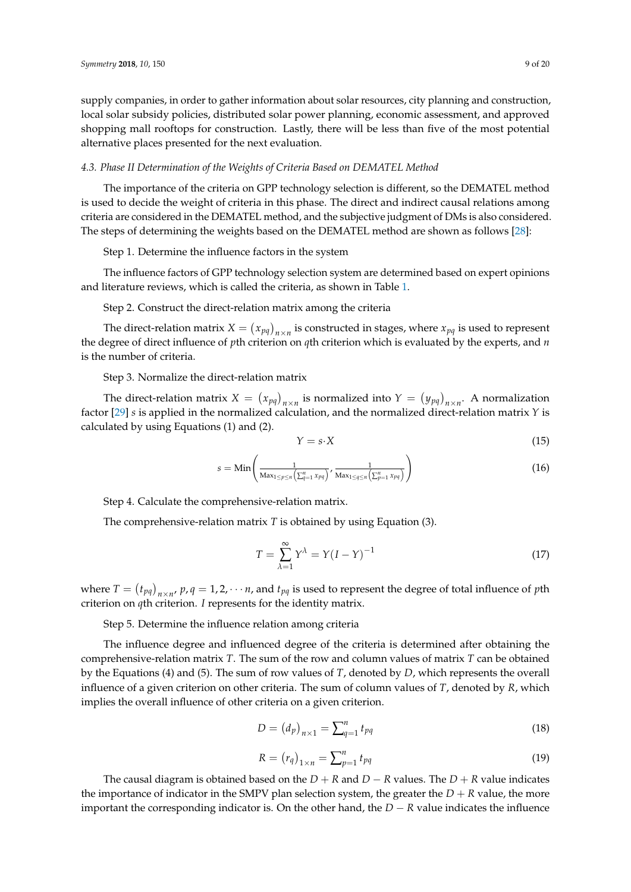supply companies, in order to gather information about solar resources, city planning and construction, local solar subsidy policies, distributed solar power planning, economic assessment, and approved shopping mall rooftops for construction. Lastly, there will be less than five of the most potential alternative places presented for the next evaluation.

#### *4.3. Phase II Determination of the Weights of Criteria Based on DEMATEL Method*

The importance of the criteria on GPP technology selection is different, so the DEMATEL method is used to decide the weight of criteria in this phase. The direct and indirect causal relations among criteria are considered in the DEMATEL method, and the subjective judgment of DMs is also considered. The steps of determining the weights based on the DEMATEL method are shown as follows [\[28\]](#page-19-11):

Step 1. Determine the influence factors in the system

The influence factors of GPP technology selection system are determined based on expert opinions and literature reviews, which is called the criteria, as shown in Table [1.](#page-3-0)

Step 2. Construct the direct-relation matrix among the criteria

The direct-relation matrix  $X = (x_{pq})_{n \times n}$  is constructed in stages, where  $x_{pq}$  is used to represent the degree of direct influence of *p*th criterion on *q*th criterion which is evaluated by the experts, and *n* is the number of criteria.

Step 3. Normalize the direct-relation matrix

The direct-relation matrix  $X = (x_{pq})_{n \times n}$  is normalized into  $Y = (y_{pq})_{n \times n}$ . A normalization factor [\[29\]](#page-19-12) *s* is applied in the normalized calculation, and the normalized direct-relation matrix *Y* is calculated by using Equations (1) and (2).

$$
Y = s \cdot X \tag{15}
$$

$$
s = \min\left(\frac{1}{\max_{1 \le p \le n} \left(\sum_{q=1}^n x_{pq}\right)}, \frac{1}{\max_{1 \le q \le n} \left(\sum_{p=1}^n x_{pq}\right)}\right)
$$
(16)

Step 4. Calculate the comprehensive-relation matrix.

The comprehensive-relation matrix *T* is obtained by using Equation (3).

$$
T = \sum_{\lambda=1}^{\infty} Y^{\lambda} = Y(I - Y)^{-1}
$$
\n(17)

where  $T = (t_{pq})_{n \times n'}$   $p, q = 1, 2, \cdots n$ , and  $t_{pq}$  is used to represent the degree of total influence of *p*th criterion on *q*th criterion. *I* represents for the identity matrix.

Step 5. Determine the influence relation among criteria

The influence degree and influenced degree of the criteria is determined after obtaining the comprehensive-relation matrix *T*. The sum of the row and column values of matrix *T* can be obtained by the Equations (4) and (5). The sum of row values of *T*, denoted by *D*, which represents the overall influence of a given criterion on other criteria. The sum of column values of *T*, denoted by *R*, which implies the overall influence of other criteria on a given criterion.

$$
D = \left(d_p\right)_{n \times 1} = \sum_{q=1}^{n} t_{pq} \tag{18}
$$

$$
R = \left(r_q\right)_{1 \times n} = \sum_{p=1}^{n} t_{pq} \tag{19}
$$

The causal diagram is obtained based on the  $D + R$  and  $D - R$  values. The  $D + R$  value indicates the importance of indicator in the SMPV plan selection system, the greater the  $D + R$  value, the more important the corresponding indicator is. On the other hand, the *D* − *R* value indicates the influence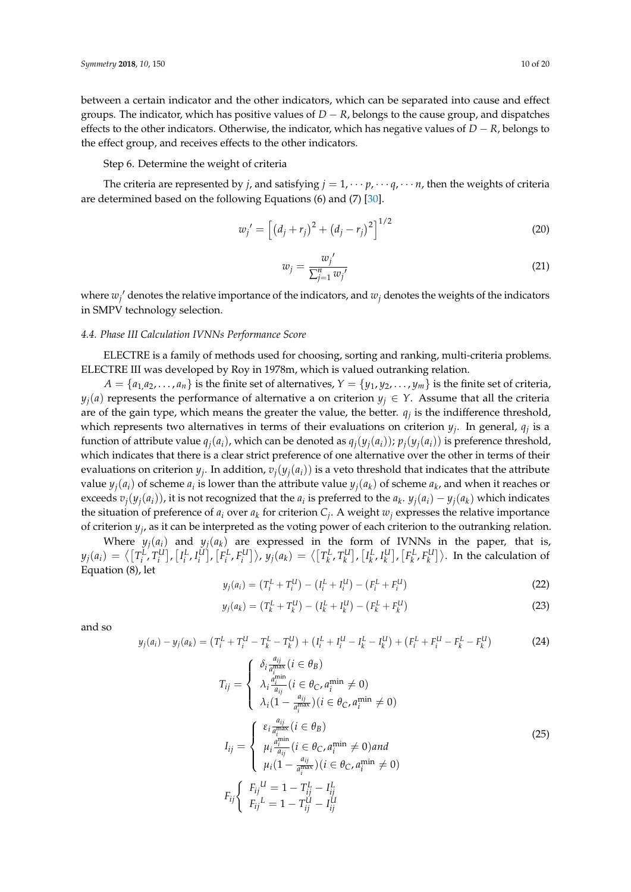between a certain indicator and the other indicators, which can be separated into cause and effect groups. The indicator, which has positive values of  $D - R$ , belongs to the cause group, and dispatches effects to the other indicators. Otherwise, the indicator, which has negative values of *D* − *R*, belongs to the effect group, and receives effects to the other indicators.

Step 6. Determine the weight of criteria

The criteria are represented by *j*, and satisfying  $j = 1, \dots, p, \dots q, \dots n$ , then the weights of criteria are determined based on the following Equations (6) and (7) [\[30\]](#page-19-13).

$$
w_j' = \left[ \left( d_j + r_j \right)^2 + \left( d_j - r_j \right)^2 \right]^{1/2} \tag{20}
$$

$$
w_j = \frac{w_j'}{\sum_{j=1}^n w_j'}
$$
\n<sup>(21)</sup>

where  $w_j'$  denotes the relative importance of the indicators, and  $w_j$  denotes the weights of the indicators in SMPV technology selection.

# *4.4. Phase III Calculation IVNNs Performance Score*

ELECTRE is a family of methods used for choosing, sorting and ranking, multi-criteria problems. ELECTRE III was developed by Roy in 1978m, which is valued outranking relation.

 $A = \{a_1, a_2, \dots, a_n\}$  is the finite set of alternatives,  $Y = \{y_1, y_2, \dots, y_m\}$  is the finite set of criteria, *y*<sup>*j*(*a*) represents the performance of alternative a on criterion  $y_j \in Y$ . Assume that all the criteria</sup> are of the gain type, which means the greater the value, the better. *q<sup>j</sup>* is the indifference threshold, which represents two alternatives in terms of their evaluations on criterion *y<sup>j</sup>* . In general, *q<sup>j</sup>* is a function of attribute value  $q_i(a_i)$ , which can be denoted as  $q_i(y_i(a_i))$ ;  $p_i(y_i(a_i))$  is preference threshold, which indicates that there is a clear strict preference of one alternative over the other in terms of their evaluations on criterion  $y_j$ . In addition,  $v_j(y_j(a_i))$  is a veto threshold that indicates that the attribute value  $y_j(a_i)$  of scheme  $a_i$  is lower than the attribute value  $y_j(a_k)$  of scheme  $a_k$ , and when it reaches or exceeds  $v_j(y_j(a_i))$ , it is not recognized that the  $a_i$  is preferred to the  $a_k$ .  $y_j(a_i) - y_j(a_k)$  which indicates the situation of preference of  $a_i$  over  $a_k$  for criterion  $C_j$ . A weight  $w_j$  expresses the relative importance of criterion *y<sup>j</sup>* , as it can be interpreted as the voting power of each criterion to the outranking relation.

Where  $y_i(a_i)$  and  $y_i(a_k)$  are expressed in the form of IVNNs in the paper, that is,  $y_j(a_i) = \big\langle \big[T^L_i, T^U_i\big], \big[I^L_i, I^U_i\big], \big[F^L_i, F^U_i\big]\big\rangle,$   $y_j(a_k) = \big\langle \big[T^L_k, T^U_k\big], \big[I^L_k, I^U_k\big], \big[F^L_k, F^U_k\big]\big\rangle.$  In the calculation of Equation (8), let

$$
y_j(a_i) = (T_i^L + T_i^U) - (I_i^L + I_i^U) - (F_i^L + F_i^U)
$$
\n(22)

$$
y_j(a_k) = (T_k^L + T_k^U) - (I_k^L + I_k^U) - (F_k^L + F_k^U)
$$
\n(23)

and so

$$
y_j(a_i) - y_j(a_k) = (T_i^L + T_i^U - T_k^L - T_k^U) + (I_i^L + I_i^U - I_k^L - I_k^U) + (F_i^L + F_i^U - F_k^L - F_k^U)
$$
(24)

$$
T_{ij} = \begin{cases} \delta_i \frac{a_{ij}}{a_i^{\text{max}}} (i \in \theta_B) \\ \lambda_i \frac{a_i^{\text{min}}}{a_{ij}} (i \in \theta_C, a_i^{\text{min}} \neq 0) \\ \lambda_i (1 - \frac{a_{ij}}{a_i^{\text{max}}} ) (i \in \theta_C, a_i^{\text{min}} \neq 0) \end{cases}
$$
  
\n
$$
I_{ij} = \begin{cases} \varepsilon_i \frac{a_{ij}}{a_i^{\text{max}}} (i \in \theta_B) \\ \mu_i \frac{a_i^{\text{min}}}{a_{ij}} (i \in \theta_C, a_i^{\text{min}} \neq 0) \text{ and} \\ \mu_i (1 - \frac{a_{ij}}{a_i^{\text{max}}} ) (i \in \theta_C, a_i^{\text{min}} \neq 0) \end{cases}
$$
  
\n
$$
F_{ij} \begin{cases} F_{ij}^{U} = 1 - T_{ij}^{L} - I_{ij}^{L} \\ F_{ij}^{L} = 1 - T_{ij}^{U} - I_{ij}^{U} \end{cases}
$$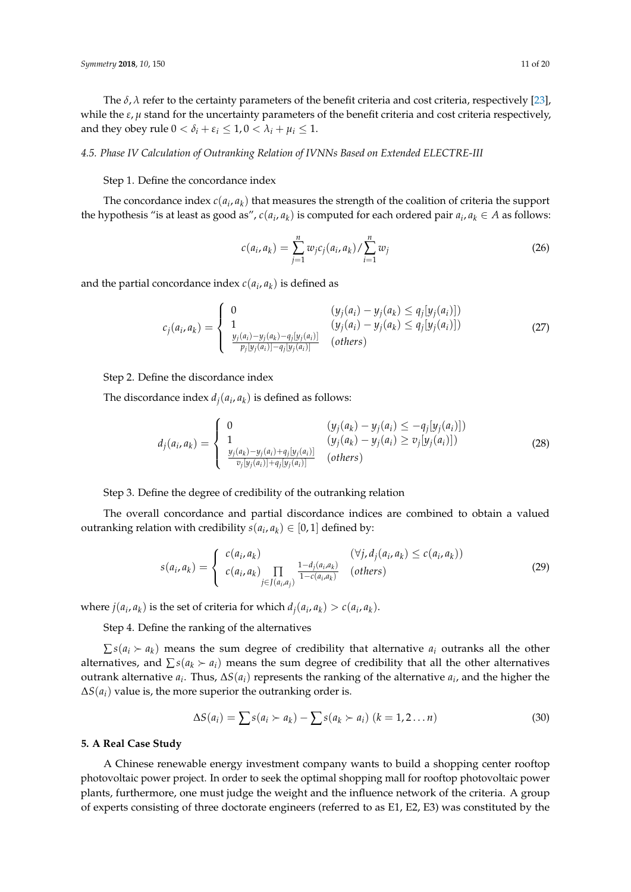The  $\delta$ ,  $\lambda$  refer to the certainty parameters of the benefit criteria and cost criteria, respectively [\[23\]](#page-19-6), while the *ε*, *µ* stand for the uncertainty parameters of the benefit criteria and cost criteria respectively, and they obey rule  $0 < \delta_i + \varepsilon_i \leq 1, 0 < \lambda_i + \mu_i \leq 1$ .

## *4.5. Phase IV Calculation of Outranking Relation of IVNNs Based on Extended ELECTRE-III*

#### Step 1. Define the concordance index

The concordance index  $c(a_i, a_k)$  that measures the strength of the coalition of criteria the support the hypothesis "is at least as good as",  $c(a_i, a_k)$  is computed for each ordered pair  $a_i, a_k \in A$  as follows:

$$
c(a_i, a_k) = \sum_{j=1}^{n} w_j c_j(a_i, a_k) / \sum_{i=1}^{n} w_j
$$
 (26)

and the partial concordance index  $c(a_i, a_k)$  is defined as

$$
c_j(a_i, a_k) = \begin{cases} 0 & (y_j(a_i) - y_j(a_k) \le q_j[y_j(a_i)]) \\ 1 & (y_j(a_i) - y_j(a_k) \le q_j[y_j(a_i)]) \\ \frac{y_j(a_i) - y_j(a_k) - q_j[y_j(a_i)]}{p_j[y_j(a_i)] - q_j[y_j(a_i)]} & (others) \end{cases}
$$
(27)

Step 2. Define the discordance index

The discordance index  $d_j(a_i, a_k)$  is defined as follows:

$$
d_j(a_i, a_k) = \begin{cases} 0 & (y_j(a_k) - y_j(a_i) \leq -q_j[y_j(a_i)]) \\ 1 & (y_j(a_k) - y_j(a_i) \geq v_j[y_j(a_i)]) \\ \frac{y_j(a_k) - y_j(a_i) + q_j[y_j(a_i)]}{v_j[y_j(a_i)] + q_j[y_j(a_i)]} & (others) \end{cases}
$$
(28)

Step 3. Define the degree of credibility of the outranking relation

The overall concordance and partial discordance indices are combined to obtain a valued outranking relation with credibility  $s(a_i, a_k) \in [0, 1]$  defined by:

$$
s(a_i, a_k) = \begin{cases} c(a_i, a_k) & (\forall j, d_j(a_i, a_k) \le c(a_i, a_k)) \\ c(a_i, a_k) \prod_{j \in J(a_i, a_j)} \frac{1 - d_j(a_i, a_k)}{1 - c(a_i, a_k)} & (\text{others}) \end{cases}
$$
(29)

where  $j(a_i, a_k)$  is the set of criteria for which  $d_j(a_i, a_k) > c(a_i, a_k)$ .

Step 4. Define the ranking of the alternatives

 $\sum s(a_i \succ a_k)$  means the sum degree of credibility that alternative  $a_i$  outranks all the other alternatives, and  $\sum s(a_k \succ a_i)$  means the sum degree of credibility that all the other alternatives outrank alternative  $a_i$ . Thus,  $\Delta S(a_i)$  represents the ranking of the alternative  $a_i$ , and the higher the  $\Delta S(a_i)$  value is, the more superior the outranking order is.

$$
\Delta S(a_i) = \sum s(a_i \succ a_k) - \sum s(a_k \succ a_i) \ (k = 1, 2 \dots n)
$$
\n(30)

#### **5. A Real Case Study**

A Chinese renewable energy investment company wants to build a shopping center rooftop photovoltaic power project. In order to seek the optimal shopping mall for rooftop photovoltaic power plants, furthermore, one must judge the weight and the influence network of the criteria. A group of experts consisting of three doctorate engineers (referred to as E1, E2, E3) was constituted by the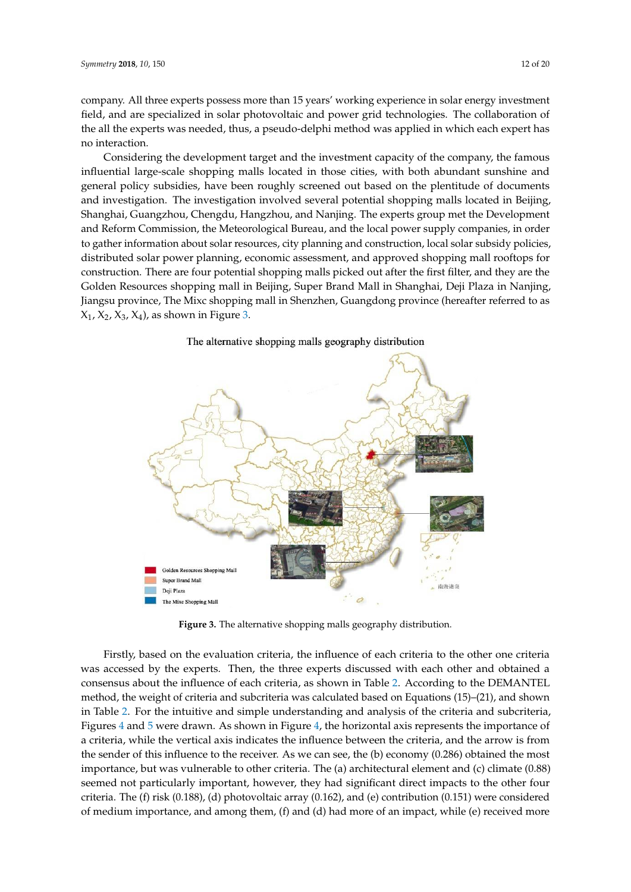company. All three experts possess more than 15 years' working experience in solar energy investment field, and are specialized in solar photovoltaic and power grid technologies. The collaboration of the all the experts was needed, thus, a pseudo-delphi method was applied in which each expert has *Symmetry* **2018**, *10*, x FOR PEER REVIEW 13 of 21 no interaction.

Considering the development target and the investment capacity of the company, the famous Considering the development target and the investment capacity of the company, the famous influential large-scale shopping malls located in those cities, with both abundant sunshine and influential large-scale shopping malls located in those cities, with both abundant sunshine and general policy subsidies, have been roughly screened out based on the plentitude of documents general policy subsidies, have been roughly screened out based on the plentitude of documents and and investigation. The investigation involved several potential shopping malls located in Beijing, Shanghai, Guangzhou, Chengdu, Hangzhou, and Nanjing. The experts group met the Development Shanghai, Guangzhou, Chengdu, Hangzhou, and Nanjing. The experts group met the Development and Reform Commission, the Meteorological Bureau, and the local power supply companies, in order and Reform Commission, the Meteorological Bureau, and the local power supply companies, in order to gather information about solar resources, city planning and construction, local solar subsidy policies, to gather information about solar resources, city planning and construction, local solar subsidy distributed solar power planning, economic assessment, and approved shopping mall rooftops for construction. There are four potential shopping malls picked out after the first filter, and they are the Golden Resources shopping mall in Beijing, Super Brand Mall in Shanghai, Deji Plaza in Nanjing, Jiangsu province, The Mixc shopping mall in Shenzhen, Guangdong province (hereafter referred to as  $X_1$ ,  $X_2$ ,  $X_3$ ,  $X_4$ ), as show[n i](#page-11-0)n Figure 3.

<span id="page-11-0"></span>

The alternative shopping malls geography distribution

**Figure 3.** The alternative shopping malls geography distribution. **Figure 3.** The alternative shopping malls geography distribution.

Firstly, based on the evaluation criteria, the influence of each criteria to the other one criteria was accessed by the experts. Then, the three experts discussed with each other and obtained a consensus about the influence of each criteria, as shown in Table [2.](#page-13-0) According to the DEMANTEL method, the weight of criteria and subcriteria was calculated based on Equations (15)–(21), and shown in Table [2.](#page-13-0) For the intuitive and simple understanding and analysis of the criteria and subcriteria, Figures [4](#page-12-0) and [5](#page-12-1) were drawn. As shown in Figure [4,](#page-12-0) the horizontal axis represents the importance of a criteria, while the vertical axis indicates the influence between the criteria, and the arrow is from the sender of this influence to the receiver. As we can see, the (b) economy  $(0.286)$  obtained the most importance, but was vulnerable to other criteria. The (a) architectural element and (c) climate (0.88) seemed not particularly important, however, they had significant direct impacts to the other four criteria. The (f) risk (0.188), (d) photovoltaic array (0.162), and (e) contribution (0.151) were considered of modium importance, and among them,  $(f)$  and  $(d)$  had more of an impact, while  $(e)$  received mo of medium importance, and among them, (f) and (d) had more of an impact, while (e) received more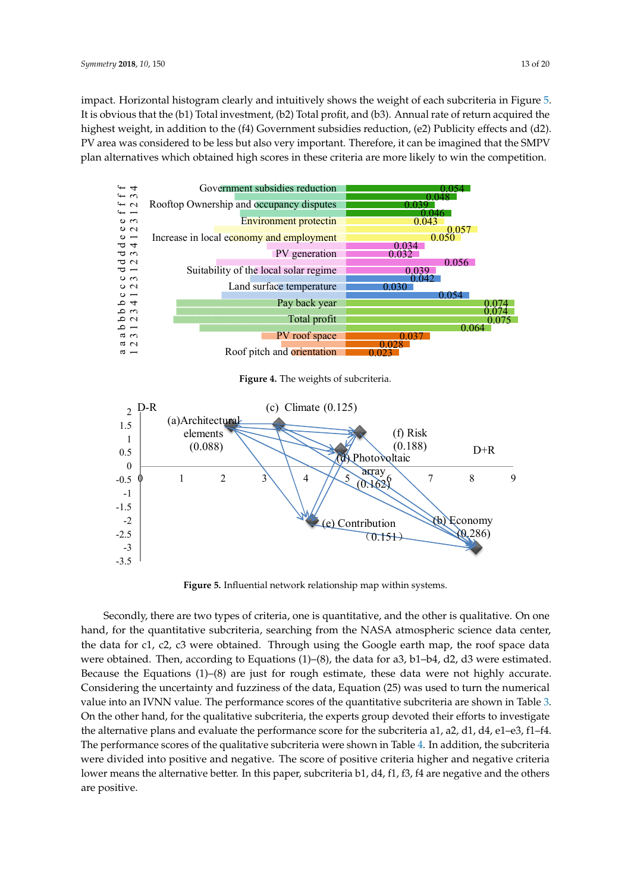impact. Horizontal histogram clearly and intuitively shows the weight of each subcriteria in Figure [5.](#page-12-1) It is obvious that the (b1) Total investment, (b2) Total profit, and (b3). Annual rate of return acquired the highest weight, in addition to the (f4) Government subsidies reduction, (e2) Publicity effects and (d2). PV area was considered to be less but also very important. Therefore, it can be imagined that the SMPV plan alternatives which obtained high scores in these criteria are more likely to win the competition.

<span id="page-12-0"></span>

**Figure 4.** The weights of subcriteria.

<span id="page-12-1"></span>

**Figure 5.** Influential network relationship map within systems. **Figure 5.** Influential network relationship map within systems.

Secondly, there are two types of criteria, one is quantitative, and the other is qualitative. On one hand, for the quantitative subcriteria, searching from the NASA atmospheric science data center, the data for c1, c2, c3 were obtained. Through using the Google earth map, the roof space data were obtained. Then, according to Equations  $(1)$ – $(8)$ , the data for a3, b1–b4, d2, d3 were estimated.  $\alpha$  and  $\alpha$  according to Equations (1)–(8) are just for fought estimate, these tails were not ingitly accurate.  $t$  are the Equations (1)–(8) and the  $t$  rough estimate, the main estimate is  $\frac{t}{t}$  and  $\frac{t}{t}$  and  $\frac{t}{t}$  and  $\frac{t}{t}$  and  $\frac{t}{t}$  are not highly and  $\frac{t}{t}$  and  $\frac{t}{t}$  are not higher than  $\frac{t}{t}$  and value into an IVNN value. The performance scores of the quantitative subcriteria are shown in Table [3.](#page-14-0) On the other hand, for the qualitative subcriteria, the experts group devoted their efforts to investigate the alternative plans and evaluate the performance score for the subcriteria a1, a2, d1, d4, e1–e3, f1–f4.<br>— The performance scores of the qualitative subcriteria were shown in Table 4. In addition, the subcriteria  $\overline{\phantom{a}}$ were divided into positive and negative. The score of positive criteria higher and negative criteria  $\frac{1}{2}$ lower means the alternative better. In this paper, subcriteria b1, d4, f1, f3, f4 are negative and the others  $\alpha$  lower means the alternative better. In this paper, subcriteria b1,  $\alpha$ ,  $\beta$ ,  $\alpha$ ,  $\beta$ ,  $\alpha$ ,  $\alpha$ ,  $\alpha$ ,  $\alpha$ ,  $\alpha$ ,  $\alpha$ ,  $\alpha$ ,  $\alpha$ ,  $\alpha$ ,  $\alpha$ ,  $\alpha$ ,  $\alpha$ ,  $\alpha$ ,  $\alpha$ ,  $\alpha$ ,  $\alpha$ ,  $\alpha$ ,  $\alpha$ ,  $\alpha$ ,  $\alpha$ ,  $\alpha$ , Because the Equations (1)–(8) are just for rough estimate, these data were not highly accurate. If  $\alpha$  is a uncertainty on  $\beta$  functions of the data. Function (25) we used to true the number Considering the uncertainty and fuzziness of the data, Equation (25) was used to turn the numerical  $\sum_{n=1}^{\infty}$ are positive.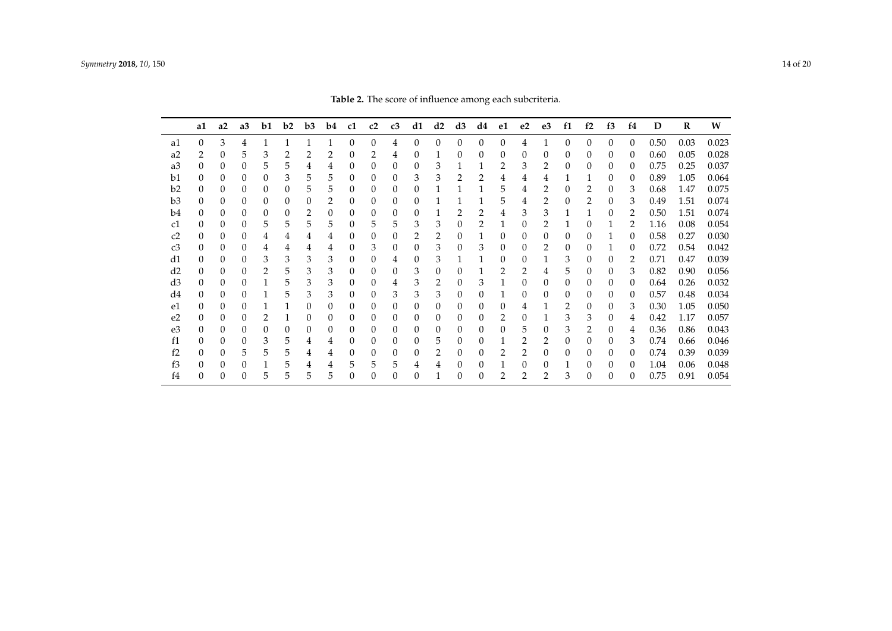<span id="page-13-0"></span>

|                | a1       | a2       | a <sub>3</sub> | b1            | b2 | b3       | b4 | c1       | c2       | c3       | d1       | d2       | d3 | d4       | e1       | e <sub>2</sub> | e <sub>3</sub> | f1       | f2       | f3       | f <sub>4</sub> | D    | $\bf R$ | W     |
|----------------|----------|----------|----------------|---------------|----|----------|----|----------|----------|----------|----------|----------|----|----------|----------|----------------|----------------|----------|----------|----------|----------------|------|---------|-------|
| a1             |          | 3        | 4              |               |    |          |    | $\Omega$ | $\Omega$ | 4        | $\Omega$ | $\Omega$ | 0  | $\Omega$ | $\Omega$ | 4              |                | $\Omega$ | 0        | $\Omega$ | $\Omega$       | 0.50 | 0.03    | 0.023 |
| a <sub>2</sub> | 2        | 0        | 5              | 3             |    |          | 2  |          | 2        | 4        | $\theta$ |          | 0  | 0        | $\Omega$ | 0              | 0              | $\Omega$ | 0        | 0        | $\Omega$       | 0.60 | 0.05    | 0.028 |
| a3             |          | 0        | 0              | 5             | 5  | 4        | 4  | 0        | 0        | 0        | 0        | 3        |    |          | 2        | 3              |                | 0        | 0        | $\theta$ | $\theta$       | 0.75 | 0.25    | 0.037 |
| b1             | 0        | 0        | $\Omega$       | 0             | 3  | 5        | 5  | 0        | $\Omega$ | $\Omega$ | 3        | 3        |    |          |          | 4              | 4              |          | 1        | 0        | $\theta$       | 0.89 | 1.05    | 0.064 |
| b2             | 0        | 0        | $\Omega$       | 0             | 0  | 5        | 5  | 0        | $\Omega$ | 0        |          |          |    |          | 5        | 4              | 2              | 0        | 2        |          | 3              | 0.68 | 1.47    | 0.075 |
| b3             |          | 0        | $\Omega$       | 0             | 0  | 0        | 2  |          | $\Omega$ | 0        |          |          |    |          | 5        |                |                | 0        | 2        |          | 3              | 0.49 | 1.51    | 0.074 |
| b4             |          | 0        | 0              | 0             | 0  | 2        | 0  |          | 0        | 0        | 0        |          |    | 2        | 4        | 3              | 3              |          |          | 0        | 2              | 0.50 | 1.51    | 0.074 |
| c1             | 0        | $\Omega$ | $\Omega$       | 5             | 5  | 5        | 5  | $^{(1)}$ | 5        | 5        | 3        | 3        | 0  | 2        |          | 0              |                |          | 0        |          | 2              | 1.16 | 0.08    | 0.054 |
| c2             |          | 0        | 0              | 4             | 4  | 4        | 4  |          | 0        |          |          | 2        | 0  |          | 0        | $\Omega$       | 0              | 0        | 0        |          | 0              | 0.58 | 0.27    | 0.030 |
| c3             | 0        | $\theta$ | 0              | 4             | 4  | 4        | 4  |          | 3        | 0        |          | 3        | 0  | 3        | 0        | 0              | 2              | 0        | 0        |          | 0              | 0.72 | 0.54    | 0.042 |
| d1             | 0        | 0        | 0              | 3             | 3  | 3        | 3  | 0        | $\Omega$ | 4        | 0        | 3        |    |          | 0        | 0              |                | 3        | 0        | 0        | 2              | 0.71 | 0.47    | 0.039 |
| d2             | $^{(1)}$ | 0        | 0              | $\mathcal{L}$ | 5  | 3        | 3  | $^{(1)}$ | $\Omega$ | 0        | 3        | 0        | 0  |          |          | 2              | 4              | 5        | 0        | $\theta$ | 3              | 0.82 | 0.90    | 0.056 |
| d3             |          | 0        | 0              |               | 5  | 3        | 3  |          | 0        | 4        | 3        | 2        | 0  | 3        |          | 0              | 0              | 0        | 0        | 0        | 0              | 0.64 | 0.26    | 0.032 |
| d4             |          | 0        | 0              |               | 5  | 3        | 3  |          | 0        | 3        | 3        | 3        | 0  |          |          | 0              | $\theta$       | 0        | 0        | $\theta$ | $\theta$       | 0.57 | 0.48    | 0.034 |
| e1             | 0        | 0        | 0              |               |    | $\Omega$ | 0  | $^{(1)}$ | $\Omega$ | 0        | 0        | 0        | 0  | 0        | 0        | 4              |                | 2        | $\Omega$ | 0        | 3              | 0.30 | 1.05    | 0.050 |
| e <sub>2</sub> | 0        | 0        | $\left($       |               |    | $\Omega$ | 0  | 0        | $\Omega$ | $\Omega$ | $\Omega$ | $\Omega$ | 0  | 0        | 2        | 0              |                | 3        | 3        | 0        | 4              | 0.42 | 1.17    | 0.057 |
| e3             |          | 0        | 0              |               | 0  | $\Omega$ | 0  |          | 0        | 0        | 0        | $\Omega$ | 0  | 0        |          | 5              | 0              | 3        | 2        | 0        |                | 0.36 | 0.86    | 0.043 |
| f1             | 0        | 0        | 0              | 3             | 5  | 4        | 4  |          | 0        | 0        | 0        | 5        | 0  | 0        |          |                | 2              | 0        | 0        | 0        | 3              | 0.74 | 0.66    | 0.046 |
| f2             | 0        | 0        | 5.             | 5             | 5  | 4        | 4  | $^{(1)}$ | 0        | 0        | 0        | 2        | 0  | 0        |          | 2              | 0              | $\Omega$ | 0        | 0        | 0              | 0.74 | 0.39    | 0.039 |
| f3             |          | 0        | 0              |               | 5  | 4        | 4  | 5        | 5        | 5        |          | 4        | 0  | 0        |          | 0              | $\theta$       |          | 0        | 0        | $\theta$       | 1.04 | 0.06    | 0.048 |
| f4             |          |          |                |               | 5  |          | 5  |          |          |          |          |          |    |          |          |                |                |          |          |          |                | 0.75 | 0.91    | 0.054 |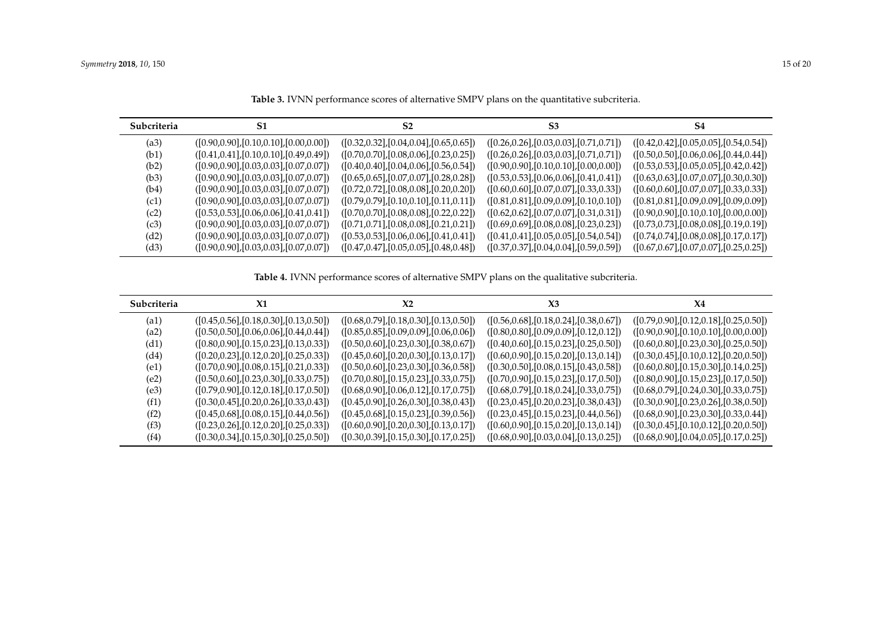| Subcriteria | S1                                            | S <sub>2</sub>                               | S <sub>3</sub>                               | S4                                            |
|-------------|-----------------------------------------------|----------------------------------------------|----------------------------------------------|-----------------------------------------------|
| (a3)        | $([0.90, 0.90], [0.10, 0.10], [0.00, 0.00])$  | $([0.32, 0.32], [0.04, 0.04], [0.65, 0.65])$ | $([0.26, 0.26], [0.03, 0.03], [0.71, 0.71])$ | $([0.42, 0.42], [0.05, 0.05], [0.54, 0.54])$  |
| (b1)        | $([0.41, 0.41], [0.10, 0.10], [0.49, 0.49])$  | $([0.70, 0.70], [0.08, 0.06], [0.23, 0.25])$ | $([0.26, 0.26], [0.03, 0.03], [0.71, 0.71])$ | $([0.50, 0.50], [0.06, 0.06], [0.44, 0.44])$  |
| (b2)        | $([0.90, 0.90], [0.03, 0.03], [0.07, 0.07])$  | $([0.40, 0.40], [0.04, 0.06], [0.56, 0.54])$ | $([0.90, 0.90], [0.10, 0.10], [0.00, 0.00])$ | $([0.53, 0.53], [0.05, 0.05], [0.42, 0.42])$  |
| (b3)        | $( [0.90, 0.90], [0.03, 0.03], [0.07, 0.07])$ | $([0.65, 0.65], [0.07, 0.07], [0.28, 0.28])$ | $([0.53, 0.53], [0.06, 0.06], [0.41, 0.41])$ | $([0.63, 0.63], [0.07, 0.07], [0.30, 0.30])$  |
| (b4)        | $([0.90, 0.90], [0.03, 0.03], [0.07, 0.07])$  | $([0.72, 0.72], [0.08, 0.08], [0.20, 0.20])$ | $([0.60, 0.60], [0.07, 0.07], [0.33, 0.33])$ | $([0.60, 0.60], [0.07, 0.07], [0.33, 0.33])$  |
| (c1)        | $([0.90, 0.90], [0.03, 0.03], [0.07, 0.07])$  | $([0.79, 0.79], [0.10, 0.10], [0.11, 0.11])$ | $([0.81, 0.81], [0.09, 0.09], [0.10, 0.10])$ | $([0.81, 0.81], [0.09, 0.09], [0.09, 0.09])$  |
| (c2)        | $([0.53, 0.53], [0.06, 0.06], [0.41, 0.41])$  | $([0.70, 0.70], [0.08, 0.08], [0.22, 0.22])$ | $([0.62, 0.62], [0.07, 0.07], [0.31, 0.31])$ | $( [0.90, 0.90], [0.10, 0.10], [0.00, 0.00])$ |
| (c3)        | $([0.90, 0.90], [0.03, 0.03], [0.07, 0.07])$  | $([0.71, 0.71], [0.08, 0.08], [0.21, 0.21])$ | $([0.69, 0.69], [0.08, 0.08], [0.23, 0.23])$ | $([0.73, 0.73], [0.08, 0.08], [0.19, 0.19])$  |
| (d2)        | $([0.90, 0.90], [0.03, 0.03], [0.07, 0.07])$  | $([0.53, 0.53], [0.06, 0.06], [0.41, 0.41])$ | $([0.41, 0.41], [0.05, 0.05], [0.54, 0.54])$ | $([0.74, 0.74], [0.08, 0.08], [0.17, 0.17])$  |
| (d3)        | $( [0.90, 0.90], [0.03, 0.03], [0.07, 0.07])$ | $([0.47, 0.47], [0.05, 0.05], [0.48, 0.48])$ | $([0.37, 0.37], [0.04, 0.04], [0.59, 0.59])$ | $([0.67, 0.67], [0.07, 0.07], [0.25, 0.25])$  |

**Table 3.** IVNN performance scores of alternative SMPV plans on the quantitative subcriteria.

**Table 4.** IVNN performance scores of alternative SMPV plans on the qualitative subcriteria.

<span id="page-14-1"></span><span id="page-14-0"></span>

| Subcriteria | X1                                           | X2                                           | X3                                           | $X_4$                                        |
|-------------|----------------------------------------------|----------------------------------------------|----------------------------------------------|----------------------------------------------|
| (a1)        | $([0.45, 0.56], [0.18, 0.30], [0.13, 0.50])$ | $([0.68, 0.79], [0.18, 0.30], [0.13, 0.50])$ | $([0.56, 0.68], [0.18, 0.24], [0.38, 0.67])$ | $([0.79, 0.90], [0.12, 0.18], [0.25, 0.50])$ |
| (a2)        | $([0.50, 0.50], [0.06, 0.06], [0.44, 0.44])$ | $([0.85, 0.85], [0.09, 0.09], [0.06, 0.06])$ | $([0.80, 0.80], [0.09, 0.09], [0.12, 0.12])$ | $([0.90, 0.90], [0.10, 0.10], [0.00, 0.00])$ |
| (d1)        | $([0.80, 0.90], [0.15, 0.23], [0.13, 0.33])$ | $([0.50, 0.60], [0.23, 0.30], [0.38, 0.67])$ | $([0.40, 0.60], [0.15, 0.23], [0.25, 0.50])$ | $([0.60, 0.80], [0.23, 0.30], [0.25, 0.50])$ |
| (d4)        | $([0.20, 0.23], [0.12, 0.20], [0.25, 0.33])$ | $([0.45, 0.60], [0.20, 0.30], [0.13, 0.17])$ | $([0.60, 0.90], [0.15, 0.20], [0.13, 0.14])$ | $([0.30, 0.45], [0.10, 0.12], [0.20, 0.50])$ |
| (e1)        | $([0.70, 0.90], [0.08, 0.15], [0.21, 0.33])$ | $([0.50, 0.60], [0.23, 0.30], [0.36, 0.58])$ | $([0.30, 0.50], [0.08, 0.15], [0.43, 0.58])$ | $([0.60, 0.80], [0.15, 0.30], [0.14, 0.25])$ |
| (e2)        | $([0.50, 0.60], [0.23, 0.30], [0.33, 0.75])$ | $([0.70, 0.80], [0.15, 0.23], [0.33, 0.75])$ | $([0.70, 0.90], [0.15, 0.23], [0.17, 0.50])$ | $([0.80, 0.90], [0.15, 0.23], [0.17, 0.50])$ |
| (e3)        | $([0.79, 0.90], [0.12, 0.18], [0.17, 0.50])$ | $([0.68, 0.90], [0.06, 0.12], [0.17, 0.75])$ | $([0.68, 0.79], [0.18, 0.24], [0.33, 0.75])$ | $([0.68, 0.79], [0.24, 0.30], [0.33, 0.75])$ |
| (f1)        | $([0.30, 0.45], [0.20, 0.26], [0.33, 0.43])$ | $([0.45, 0.90], [0.26, 0.30], [0.38, 0.43])$ | $([0.23, 0.45], [0.20, 0.23], [0.38, 0.43])$ | $([0.30, 0.90], [0.23, 0.26], [0.38, 0.50])$ |
| (f2)        | $([0.45, 0.68], [0.08, 0.15], [0.44, 0.56])$ | $([0.45, 0.68], [0.15, 0.23], [0.39, 0.56])$ | $([0.23, 0.45], [0.15, 0.23], [0.44, 0.56])$ | $([0.68, 0.90], [0.23, 0.30], [0.33, 0.44])$ |
| (f3)        | $([0.23, 0.26], [0.12, 0.20], [0.25, 0.33])$ | $([0.60, 0.90], [0.20, 0.30], [0.13, 0.17])$ | $([0.60, 0.90], [0.15, 0.20], [0.13, 0.14])$ | $([0.30, 0.45], [0.10, 0.12], [0.20, 0.50])$ |
| (f4)        | $([0.30, 0.34], [0.15, 0.30], [0.25, 0.50])$ | $([0.30, 0.39], [0.15, 0.30], [0.17, 0.25])$ | $([0.68, 0.90], [0.03, 0.04], [0.13, 0.25])$ | $([0.68, 0.90], [0.04, 0.05], [0.17, 0.25])$ |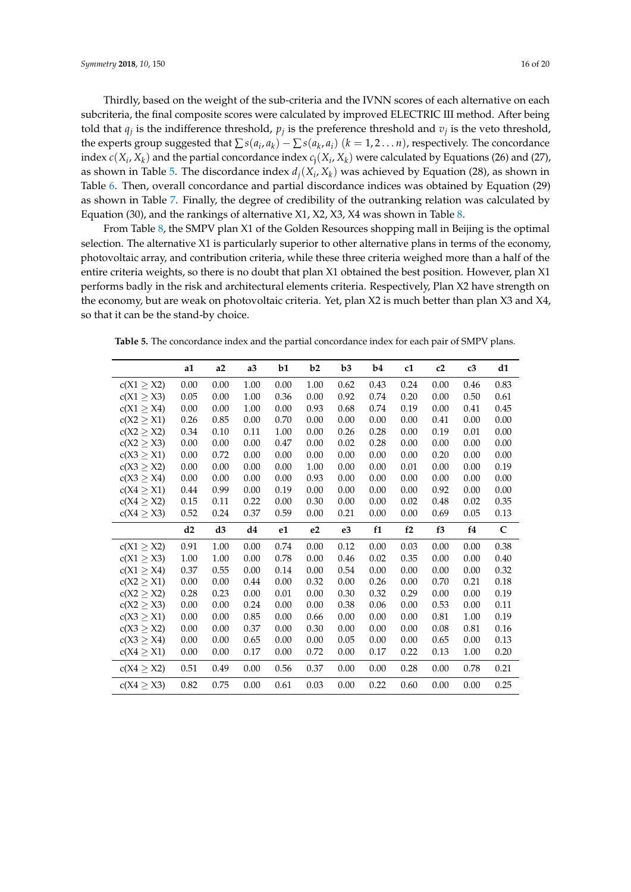Thirdly, based on the weight of the sub-criteria and the IVNN scores of each alternative on each subcriteria, the final composite scores were calculated by improved ELECTRIC III method. After being told that  $q_j$  is the indifference threshold,  $p_j$  is the preference threshold and  $v_j$  is the veto threshold, the experts group suggested that  $\sum s(a_i, a_k) - \sum s(a_k, a_i)$   $(k = 1, 2 \dots n)$ , respectively. The concordance index  $c(X_i, X_k)$  and the partial concordance index  $c_j(X_i, X_k)$  were calculated by Equations (26) and (27), as shown in Table [5.](#page-15-0) The discordance index  $d_j(X_i, X_k)$  was achieved by Equation (28), as shown in Table [6.](#page-16-0) Then, overall concordance and partial discordance indices was obtained by Equation (29) as shown in Table [7.](#page-16-1) Finally, the degree of credibility of the outranking relation was calculated by Equation (30), and the rankings of alternative X1, X2, X3, X4 was shown in Table [8.](#page-17-0)

From Table [8,](#page-17-0) the SMPV plan X1 of the Golden Resources shopping mall in Beijing is the optimal selection. The alternative X1 is particularly superior to other alternative plans in terms of the economy, photovoltaic array, and contribution criteria, while these three criteria weighed more than a half of the entire criteria weights, so there is no doubt that plan X1 obtained the best position. However, plan X1 performs badly in the risk and architectural elements criteria. Respectively, Plan X2 have strength on the economy, but are weak on photovoltaic criteria. Yet, plan X2 is much better than plan X3 and X4, so that it can be the stand-by choice.

<span id="page-15-0"></span>**Table 5.** The concordance index and the partial concordance index for each pair of SMPV plans.

|                 | a1   | a2   | a3       | b1   | b2             | b3             | b4       | c1   | c2   | c3   | d1           |
|-----------------|------|------|----------|------|----------------|----------------|----------|------|------|------|--------------|
| c(X1 > X2)      | 0.00 | 0.00 | 1.00     | 0.00 | 1.00           | 0.62           | 0.43     | 0.24 | 0.00 | 0.46 | 0.83         |
| $c(X1 \geq X3)$ | 0.05 | 0.00 | 1.00     | 0.36 | 0.00           | 0.92           | 0.74     | 0.20 | 0.00 | 0.50 | 0.61         |
| c(X1 > X4)      | 0.00 | 0.00 | 1.00     | 0.00 | 0.93           | 0.68           | 0.74     | 0.19 | 0.00 | 0.41 | 0.45         |
| $c(X2 \geq X1)$ | 0.26 | 0.85 | 0.00     | 0.70 | 0.00           | 0.00           | 0.00     | 0.00 | 0.41 | 0.00 | 0.00         |
| $c(X2 \geq X2)$ | 0.34 | 0.10 | 0.11     | 1.00 | 0.00           | 0.26           | 0.28     | 0.00 | 0.19 | 0.01 | 0.00         |
| $c(X2 \geq X3)$ | 0.00 | 0.00 | 0.00     | 0.47 | 0.00           | 0.02           | 0.28     | 0.00 | 0.00 | 0.00 | 0.00         |
| $c(X3 \geq X1)$ | 0.00 | 0.72 | 0.00     | 0.00 | 0.00           | 0.00           | 0.00     | 0.00 | 0.20 | 0.00 | 0.00         |
| $c(X3 \geq X2)$ | 0.00 | 0.00 | 0.00     | 0.00 | 1.00           | 0.00           | 0.00     | 0.01 | 0.00 | 0.00 | 0.19         |
| $c(X3 \geq X4)$ | 0.00 | 0.00 | 0.00     | 0.00 | 0.93           | 0.00           | 0.00     | 0.00 | 0.00 | 0.00 | 0.00         |
| $c(X4 \geq X1)$ | 0.44 | 0.99 | 0.00     | 0.19 | 0.00           | 0.00           | 0.00     | 0.00 | 0.92 | 0.00 | 0.00         |
| $c(X4 \geq X2)$ | 0.15 | 0.11 | 0.22     | 0.00 | 0.30           | 0.00           | 0.00     | 0.02 | 0.48 | 0.02 | 0.35         |
| $c(X4 \geq X3)$ | 0.52 | 0.24 | 0.37     | 0.59 | 0.00           | 0.21           | 0.00     | 0.00 | 0.69 | 0.05 | 0.13         |
|                 | d2   | d3   | d4       | e1   | e <sub>2</sub> | e <sub>3</sub> | f1       | f2   | f3   | f4   | $\mathsf{C}$ |
| $c(X1 \geq X2)$ | 0.91 | 1.00 | 0.00     | 0.74 | 0.00           | 0.12           | 0.00     | 0.03 | 0.00 | 0.00 | 0.38         |
| $c(X1 \geq X3)$ | 1.00 | 1.00 | 0.00     | 0.78 | 0.00           | 0.46           | 0.02     | 0.35 | 0.00 | 0.00 | 0.40         |
| $c(X1 \geq X4)$ | 0.37 | 0.55 | 0.00     | 0.14 | 0.00           | 0.54           | 0.00     | 0.00 | 0.00 | 0.00 | 0.32         |
| $c(X2 \geq X1)$ | 0.00 | 0.00 | 0.44     | 0.00 | 0.32           | 0.00           | 0.26     | 0.00 | 0.70 | 0.21 | 0.18         |
| $c(X2 \geq X2)$ | 0.28 | 0.23 | 0.00     | 0.01 | 0.00           | 0.30           | 0.32     | 0.29 | 0.00 | 0.00 | 0.19         |
| $c(X2 \geq X3)$ | 0.00 | 0.00 | 0.24     | 0.00 | 0.00           | 0.38           | 0.06     | 0.00 | 0.53 | 0.00 | 0.11         |
| $c(X3 \geq X1)$ | 0.00 | 0.00 | 0.85     | 0.00 | 0.66           | 0.00           | 0.00     | 0.00 | 0.81 | 1.00 | 0.19         |
| c(X3 > X2)      | 0.00 | 0.00 | 0.37     | 0.00 | 0.30           | 0.00           | 0.00     | 0.00 | 0.08 | 0.81 | 0.16         |
| $c(X3 \geq X4)$ | 0.00 | 0.00 | 0.65     | 0.00 | 0.00           | 0.05           | 0.00     | 0.00 | 0.65 | 0.00 | 0.13         |
| $c(X4 \geq X1)$ | 0.00 | 0.00 | 0.17     | 0.00 | 0.72           | 0.00           | 0.17     | 0.22 | 0.13 | 1.00 | 0.20         |
| $c(X4 \geq X2)$ | 0.51 | 0.49 | $0.00\,$ | 0.56 | 0.37           | $0.00\,$       | $0.00\,$ | 0.28 | 0.00 | 0.78 | 0.21         |
| $c(X4 \geq X3)$ | 0.82 | 0.75 | 0.00     | 0.61 | 0.03           | 0.00           | 0.22     | 0.60 | 0.00 | 0.00 | 0.25         |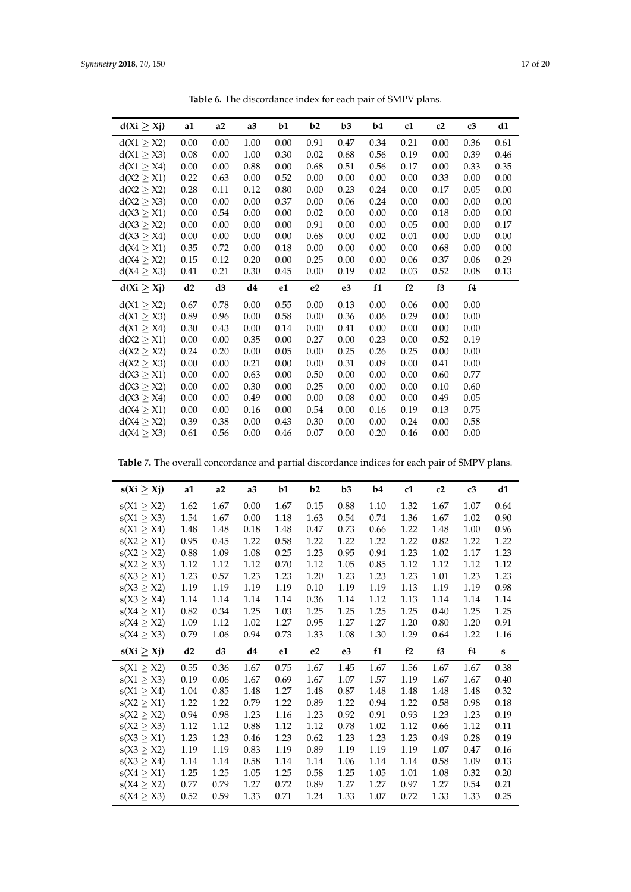<span id="page-16-0"></span>

| $d(Xi \geq Xj)$ | a1   | a2   | a3   | b1   | b2       | b3             | b4   | c1   | c2   | c3   | d1   |
|-----------------|------|------|------|------|----------|----------------|------|------|------|------|------|
| $d(X1 \geq X2)$ | 0.00 | 0.00 | 1.00 | 0.00 | 0.91     | 0.47           | 0.34 | 0.21 | 0.00 | 0.36 | 0.61 |
| $d(X1 \geq X3)$ | 0.08 | 0.00 | 1.00 | 0.30 | 0.02     | 0.68           | 0.56 | 0.19 | 0.00 | 0.39 | 0.46 |
| d(X1 > X4)      | 0.00 | 0.00 | 0.88 | 0.00 | 0.68     | 0.51           | 0.56 | 0.17 | 0.00 | 0.33 | 0.35 |
| $d(X2 \geq X1)$ | 0.22 | 0.63 | 0.00 | 0.52 | $0.00\,$ | 0.00           | 0.00 | 0.00 | 0.33 | 0.00 | 0.00 |
| d(X2 > X2)      | 0.28 | 0.11 | 0.12 | 0.80 | 0.00     | 0.23           | 0.24 | 0.00 | 0.17 | 0.05 | 0.00 |
| $d(X2 \geq X3)$ | 0.00 | 0.00 | 0.00 | 0.37 | 0.00     | 0.06           | 0.24 | 0.00 | 0.00 | 0.00 | 0.00 |
| $d(X3 \geq X1)$ | 0.00 | 0.54 | 0.00 | 0.00 | 0.02     | 0.00           | 0.00 | 0.00 | 0.18 | 0.00 | 0.00 |
| $d(X3 \geq X2)$ | 0.00 | 0.00 | 0.00 | 0.00 | 0.91     | 0.00           | 0.00 | 0.05 | 0.00 | 0.00 | 0.17 |
| d(X3 > X4)      | 0.00 | 0.00 | 0.00 | 0.00 | 0.68     | 0.00           | 0.02 | 0.01 | 0.00 | 0.00 | 0.00 |
| $d(X4 \geq X1)$ | 0.35 | 0.72 | 0.00 | 0.18 | 0.00     | 0.00           | 0.00 | 0.00 | 0.68 | 0.00 | 0.00 |
| d(X4 > X2)      | 0.15 | 0.12 | 0.20 | 0.00 | 0.25     | 0.00           | 0.00 | 0.06 | 0.37 | 0.06 | 0.29 |
| $d(X4 \geq X3)$ | 0.41 | 0.21 | 0.30 | 0.45 | 0.00     | 0.19           | 0.02 | 0.03 | 0.52 | 0.08 | 0.13 |
| $d(Xi \geq Xj)$ | d2   | d3   | d4   | e1   | e2       | e <sub>3</sub> | f1   | f2   | f3   | f4   |      |
| d(X1 > X2)      | 0.67 | 0.78 | 0.00 | 0.55 | 0.00     | 0.13           | 0.00 | 0.06 | 0.00 | 0.00 |      |
| $d(X1 \geq X3)$ | 0.89 | 0.96 | 0.00 | 0.58 | 0.00     | 0.36           | 0.06 | 0.29 | 0.00 | 0.00 |      |
| $d(X1 \geq X4)$ | 0.30 | 0.43 | 0.00 | 0.14 | 0.00     | 0.41           | 0.00 | 0.00 | 0.00 | 0.00 |      |
| $d(X2 \geq X1)$ | 0.00 | 0.00 | 0.35 | 0.00 | 0.27     | 0.00           | 0.23 | 0.00 | 0.52 | 0.19 |      |
| $d(X2 \geq X2)$ | 0.24 | 0.20 | 0.00 | 0.05 | 0.00     | 0.25           | 0.26 | 0.25 | 0.00 | 0.00 |      |
| $d(X2 \geq X3)$ | 0.00 | 0.00 | 0.21 | 0.00 | 0.00     | 0.31           | 0.09 | 0.00 | 0.41 | 0.00 |      |
| d(X3 > X1)      | 0.00 | 0.00 | 0.63 | 0.00 | 0.50     | 0.00           | 0.00 | 0.00 | 0.60 | 0.77 |      |
| $d(X3 \geq X2)$ | 0.00 | 0.00 | 0.30 | 0.00 | 0.25     | 0.00           | 0.00 | 0.00 | 0.10 | 0.60 |      |
| d(X3 > X4)      | 0.00 | 0.00 | 0.49 | 0.00 | 0.00     | 0.08           | 0.00 | 0.00 | 0.49 | 0.05 |      |
| $d(X4 \geq X1)$ | 0.00 | 0.00 | 0.16 | 0.00 | 0.54     | 0.00           | 0.16 | 0.19 | 0.13 | 0.75 |      |
| $d(X4 \geq X2)$ | 0.39 | 0.38 | 0.00 | 0.43 | 0.30     | 0.00           | 0.00 | 0.24 | 0.00 | 0.58 |      |
| $d(X4 \geq X3)$ | 0.61 | 0.56 | 0.00 | 0.46 | 0.07     | 0.00           | 0.20 | 0.46 | 0.00 | 0.00 |      |

**Table 6.** The discordance index for each pair of SMPV plans.

<span id="page-16-1"></span>

|  |  | <b>Table 7.</b> The overall concordance and partial discordance indices for each pair of SMPV plans. |  |  |  |  |  |  |  |  |
|--|--|------------------------------------------------------------------------------------------------------|--|--|--|--|--|--|--|--|
|--|--|------------------------------------------------------------------------------------------------------|--|--|--|--|--|--|--|--|

| $s(Xi \geq Xj)$ | a1   | a2   | a3       | b1   | b2             | b3   | b4   | c1   | c2   | c3   | d1          |
|-----------------|------|------|----------|------|----------------|------|------|------|------|------|-------------|
| $s(X1 \geq X2)$ | 1.62 | 1.67 | 0.00     | 1.67 | 0.15           | 0.88 | 1.10 | 1.32 | 1.67 | 1.07 | 0.64        |
| $s(X1 \geq X3)$ | 1.54 | 1.67 | 0.00     | 1.18 | 1.63           | 0.54 | 0.74 | 1.36 | 1.67 | 1.02 | 0.90        |
| $s(X1 \geq X4)$ | 1.48 | 1.48 | $0.18\,$ | 1.48 | 0.47           | 0.73 | 0.66 | 1.22 | 1.48 | 1.00 | 0.96        |
| $s(X2 \geq X1)$ | 0.95 | 0.45 | 1.22     | 0.58 | 1.22           | 1.22 | 1.22 | 1.22 | 0.82 | 1.22 | 1.22        |
| $s(X2 \geq X2)$ | 0.88 | 1.09 | 1.08     | 0.25 | 1.23           | 0.95 | 0.94 | 1.23 | 1.02 | 1.17 | 1.23        |
| $s(X2 \geq X3)$ | 1.12 | 1.12 | 1.12     | 0.70 | 1.12           | 1.05 | 0.85 | 1.12 | 1.12 | 1.12 | 1.12        |
| $s(X3 \geq X1)$ | 1.23 | 0.57 | 1.23     | 1.23 | 1.20           | 1.23 | 1.23 | 1.23 | 1.01 | 1.23 | 1.23        |
| $s(X3 \geq X2)$ | 1.19 | 1.19 | 1.19     | 1.19 | 0.10           | 1.19 | 1.19 | 1.13 | 1.19 | 1.19 | 0.98        |
| $s(X3 \geq X4)$ | 1.14 | 1.14 | 1.14     | 1.14 | 0.36           | 1.14 | 1.12 | 1.13 | 1.14 | 1.14 | 1.14        |
| $s(X4 \geq X1)$ | 0.82 | 0.34 | 1.25     | 1.03 | 1.25           | 1.25 | 1.25 | 1.25 | 0.40 | 1.25 | 1.25        |
| $s(X4 \geq X2)$ | 1.09 | 1.12 | 1.02     | 1.27 | 0.95           | 1.27 | 1.27 | 1.20 | 0.80 | 1.20 | 0.91        |
| s(X4 > X3)      | 0.79 | 1.06 | 0.94     | 0.73 | 1.33           | 1.08 | 1.30 | 1.29 | 0.64 | 1.22 | 1.16        |
| $s(Xi \geq Xj)$ | d2   | d3   | d4       | e1   | e <sub>2</sub> | e3   | f1   | f2   | f3   | f4   | $\mathbf s$ |
| $s(X1 \geq X2)$ | 0.55 | 0.36 | 1.67     | 0.75 | 1.67           | 1.45 | 1.67 | 1.56 | 1.67 | 1.67 | 0.38        |
| $s(X1 \geq X3)$ | 0.19 | 0.06 | 1.67     | 0.69 | 1.67           | 1.07 | 1.57 | 1.19 | 1.67 | 1.67 | 0.40        |
| $s(X1 \geq X4)$ | 1.04 | 0.85 | 1.48     | 1.27 | 1.48           | 0.87 | 1.48 | 1.48 | 1.48 | 1.48 | 0.32        |
| $s(X2 \geq X1)$ | 1.22 | 1.22 | 0.79     | 1.22 | 0.89           | 1.22 | 0.94 | 1.22 | 0.58 | 0.98 | 0.18        |
| $s(X2 \geq X2)$ | 0.94 | 0.98 | 1.23     | 1.16 | 1.23           | 0.92 | 0.91 | 0.93 | 1.23 | 1.23 | 0.19        |
| $s(X2 \geq X3)$ | 1.12 | 1.12 | 0.88     | 1.12 | 1.12           | 0.78 | 1.02 | 1.12 | 0.66 | 1.12 | 0.11        |
| $s(X3 \geq X1)$ | 1.23 | 1.23 | 0.46     | 1.23 | 0.62           | 1.23 | 1.23 | 1.23 | 0.49 | 0.28 | 0.19        |
| $s(X3 \geq X2)$ | 1.19 | 1.19 | 0.83     | 1.19 | 0.89           | 1.19 | 1.19 | 1.19 | 1.07 | 0.47 | 0.16        |
| $s(X3 \geq X4)$ | 1.14 | 1.14 | 0.58     | 1.14 | 1.14           | 1.06 | 1.14 | 1.14 | 0.58 | 1.09 | 0.13        |
| $s(X4 \geq X1)$ | 1.25 | 1.25 | 1.05     | 1.25 | 0.58           | 1.25 | 1.05 | 1.01 | 1.08 | 0.32 | 0.20        |
| $s(X4 \geq X2)$ | 0.77 | 0.79 | 1.27     | 0.72 | 0.89           | 1.27 | 1.27 | 0.97 | 1.27 | 0.54 | 0.21        |
| $s(X4 \geq X3)$ | 0.52 | 0.59 | 1.33     | 0.71 | 1.24           | 1.33 | 1.07 | 0.72 | 1.33 | 1.33 | 0.25        |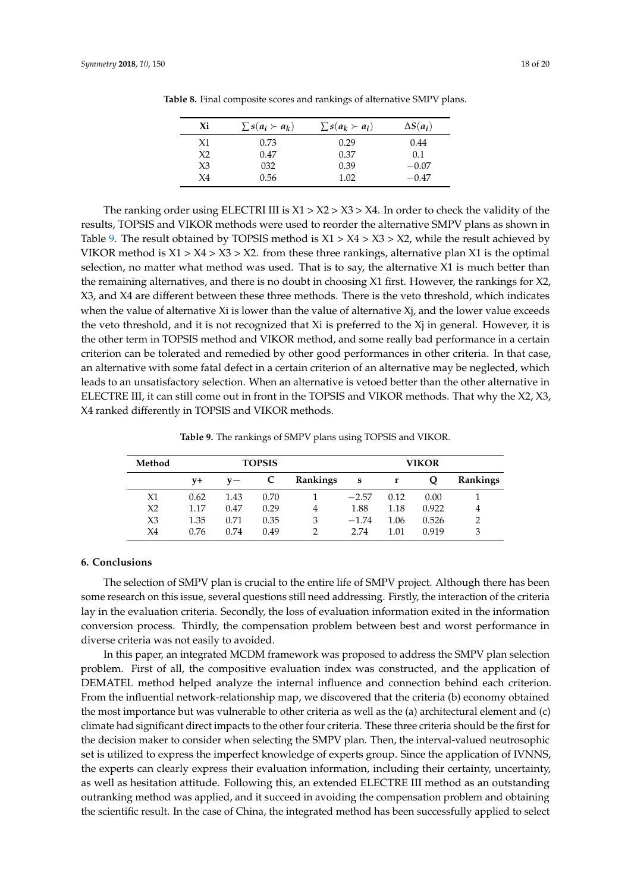| $\sum s(a_i \succ a_k)$ | $\sum s(a_k \succ a_i)$ | $\Delta S(a_i)$ |
|-------------------------|-------------------------|-----------------|
| 0.73                    | 0.29                    | 0.44            |
| 0.47                    | 0.37                    | 0.1             |
| 032                     | 0.39                    | $-0.07$         |
| 0.56                    | 1.02                    | $-0.47$         |
|                         |                         |                 |

<span id="page-17-0"></span>**Table 8.** Final composite scores and rankings of alternative SMPV plans.

The ranking order using ELECTRI III is  $X1 > X2 > X3 > X4$ . In order to check the validity of the results, TOPSIS and VIKOR methods were used to reorder the alternative SMPV plans as shown in Table [9.](#page-17-1) The result obtained by TOPSIS method is  $X1 > X4 > X3 > X2$ , while the result achieved by VIKOR method is  $X1 > X4 > X3 > X2$ . from these three rankings, alternative plan X1 is the optimal selection, no matter what method was used. That is to say, the alternative X1 is much better than the remaining alternatives, and there is no doubt in choosing X1 first. However, the rankings for X2, X3, and X4 are different between these three methods. There is the veto threshold, which indicates when the value of alternative Xi is lower than the value of alternative Xj, and the lower value exceeds the veto threshold, and it is not recognized that Xi is preferred to the Xj in general. However, it is the other term in TOPSIS method and VIKOR method, and some really bad performance in a certain criterion can be tolerated and remedied by other good performances in other criteria. In that case, an alternative with some fatal defect in a certain criterion of an alternative may be neglected, which leads to an unsatisfactory selection. When an alternative is vetoed better than the other alternative in ELECTRE III, it can still come out in front in the TOPSIS and VIKOR methods. That why the X2, X3, X4 ranked differently in TOPSIS and VIKOR methods.

**Table 9.** The rankings of SMPV plans using TOPSIS and VIKOR.

<span id="page-17-1"></span>

| Method         |      |       | <b>TOPSIS</b> |                 | <b>VIKOR</b> |      |       |          |  |  |
|----------------|------|-------|---------------|-----------------|--------------|------|-------|----------|--|--|
|                | V+   | $v -$ |               | <b>Rankings</b> | s            | r    | Q     | Rankings |  |  |
| X1             | 0.62 | 1.43  | 0.70          |                 | $-2.57$      | 0.12 | 0.00  |          |  |  |
| X <sub>2</sub> | 1.17 | 0.47  | 0.29          | 4               | 1.88         | 1.18 | 0.922 | 4        |  |  |
| X3             | 1.35 | 0.71  | 0.35          | 3               | $-1.74$      | 1.06 | 0.526 | っ        |  |  |
| X4             | 0.76 | 0.74  | 0.49          | C               | 2.74         | 1.01 | 0.919 | 3        |  |  |

## **6. Conclusions**

The selection of SMPV plan is crucial to the entire life of SMPV project. Although there has been some research on this issue, several questions still need addressing. Firstly, the interaction of the criteria lay in the evaluation criteria. Secondly, the loss of evaluation information exited in the information conversion process. Thirdly, the compensation problem between best and worst performance in diverse criteria was not easily to avoided.

In this paper, an integrated MCDM framework was proposed to address the SMPV plan selection problem. First of all, the compositive evaluation index was constructed, and the application of DEMATEL method helped analyze the internal influence and connection behind each criterion. From the influential network-relationship map, we discovered that the criteria (b) economy obtained the most importance but was vulnerable to other criteria as well as the (a) architectural element and (c) climate had significant direct impacts to the other four criteria. These three criteria should be the first for the decision maker to consider when selecting the SMPV plan. Then, the interval-valued neutrosophic set is utilized to express the imperfect knowledge of experts group. Since the application of IVNNS, the experts can clearly express their evaluation information, including their certainty, uncertainty, as well as hesitation attitude. Following this, an extended ELECTRE III method as an outstanding outranking method was applied, and it succeed in avoiding the compensation problem and obtaining the scientific result. In the case of China, the integrated method has been successfully applied to select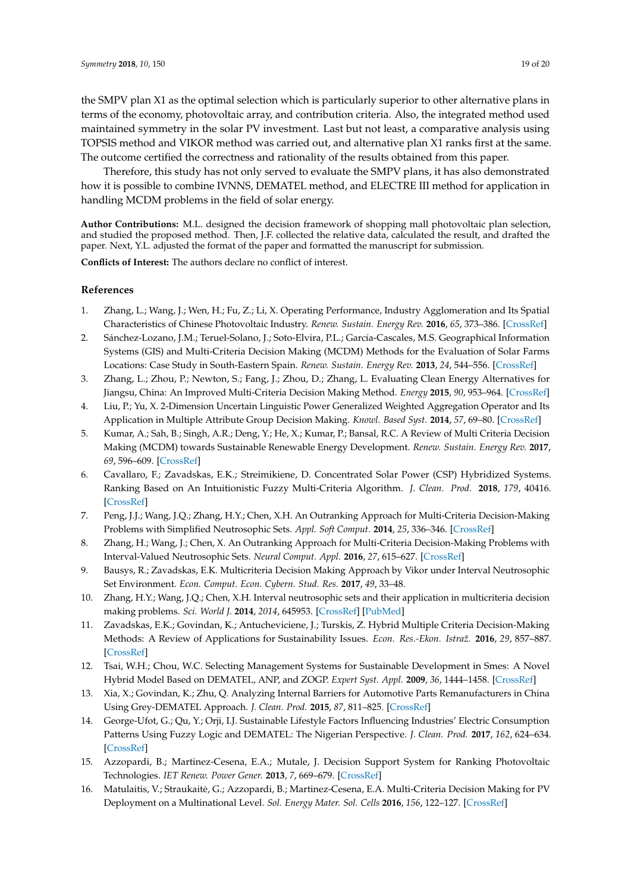the SMPV plan X1 as the optimal selection which is particularly superior to other alternative plans in terms of the economy, photovoltaic array, and contribution criteria. Also, the integrated method used maintained symmetry in the solar PV investment. Last but not least, a comparative analysis using TOPSIS method and VIKOR method was carried out, and alternative plan X1 ranks first at the same. The outcome certified the correctness and rationality of the results obtained from this paper.

Therefore, this study has not only served to evaluate the SMPV plans, it has also demonstrated how it is possible to combine IVNNS, DEMATEL method, and ELECTRE III method for application in handling MCDM problems in the field of solar energy.

**Author Contributions:** M.L. designed the decision framework of shopping mall photovoltaic plan selection, and studied the proposed method. Then, J.F. collected the relative data, calculated the result, and drafted the paper. Next, Y.L. adjusted the format of the paper and formatted the manuscript for submission.

**Conflicts of Interest:** The authors declare no conflict of interest.

# **References**

- <span id="page-18-0"></span>1. Zhang, L.; Wang, J.; Wen, H.; Fu, Z.; Li, X. Operating Performance, Industry Agglomeration and Its Spatial Characteristics of Chinese Photovoltaic Industry. *Renew. Sustain. Energy Rev.* **2016**, *65*, 373–386. [\[CrossRef\]](http://dx.doi.org/10.1016/j.rser.2016.07.010)
- <span id="page-18-1"></span>2. Sánchez-Lozano, J.M.; Teruel-Solano, J.; Soto-Elvira, P.L.; García-Cascales, M.S. Geographical Information Systems (GIS) and Multi-Criteria Decision Making (MCDM) Methods for the Evaluation of Solar Farms Locations: Case Study in South-Eastern Spain. *Renew. Sustain. Energy Rev.* **2013**, *24*, 544–556. [\[CrossRef\]](http://dx.doi.org/10.1016/j.rser.2013.03.019)
- <span id="page-18-2"></span>3. Zhang, L.; Zhou, P.; Newton, S.; Fang, J.; Zhou, D.; Zhang, L. Evaluating Clean Energy Alternatives for Jiangsu, China: An Improved Multi-Criteria Decision Making Method. *Energy* **2015**, *90*, 953–964. [\[CrossRef\]](http://dx.doi.org/10.1016/j.energy.2015.07.124)
- <span id="page-18-3"></span>4. Liu, P.; Yu, X. 2-Dimension Uncertain Linguistic Power Generalized Weighted Aggregation Operator and Its Application in Multiple Attribute Group Decision Making. *Knowl. Based Syst.* **2014**, *57*, 69–80. [\[CrossRef\]](http://dx.doi.org/10.1016/j.knosys.2013.12.009)
- <span id="page-18-4"></span>5. Kumar, A.; Sah, B.; Singh, A.R.; Deng, Y.; He, X.; Kumar, P.; Bansal, R.C. A Review of Multi Criteria Decision Making (MCDM) towards Sustainable Renewable Energy Development. *Renew. Sustain. Energy Rev.* **2017**, *69*, 596–609. [\[CrossRef\]](http://dx.doi.org/10.1016/j.rser.2016.11.191)
- <span id="page-18-5"></span>6. Cavallaro, F.; Zavadskas, E.K.; Streimikiene, D. Concentrated Solar Power (CSP) Hybridized Systems. Ranking Based on An Intuitionistic Fuzzy Multi-Criteria Algorithm. *J. Clean. Prod.* **2018**, *179*, 40416. [\[CrossRef\]](http://dx.doi.org/10.1016/j.jclepro.2017.12.269)
- <span id="page-18-6"></span>7. Peng, J.J.; Wang, J.Q.; Zhang, H.Y.; Chen, X.H. An Outranking Approach for Multi-Criteria Decision-Making Problems with Simplified Neutrosophic Sets. *Appl. Soft Comput.* **2014**, *25*, 336–346. [\[CrossRef\]](http://dx.doi.org/10.1016/j.asoc.2014.08.070)
- <span id="page-18-7"></span>8. Zhang, H.; Wang, J.; Chen, X. An Outranking Approach for Multi-Criteria Decision-Making Problems with Interval-Valued Neutrosophic Sets. *Neural Comput. Appl.* **2016**, *27*, 615–627. [\[CrossRef\]](http://dx.doi.org/10.1007/s00521-015-1882-3)
- <span id="page-18-8"></span>9. Bausys, R.; Zavadskas, E.K. Multicriteria Decision Making Approach by Vikor under Interval Neutrosophic Set Environment. *Econ. Comput. Econ. Cybern. Stud. Res.* **2017**, *49*, 33–48.
- <span id="page-18-9"></span>10. Zhang, H.Y.; Wang, J.Q.; Chen, X.H. Interval neutrosophic sets and their application in multicriteria decision making problems. *Sci. World J.* **2014**, *2014*, 645953. [\[CrossRef\]](http://dx.doi.org/10.1155/2014/645953) [\[PubMed\]](http://www.ncbi.nlm.nih.gov/pubmed/24695916)
- <span id="page-18-10"></span>11. Zavadskas, E.K.; Govindan, K.; Antucheviciene, J.; Turskis, Z. Hybrid Multiple Criteria Decision-Making Methods: A Review of Applications for Sustainability Issues. *Econ. Res.-Ekon. Istraž.* **2016**, *29*, 857–887. [\[CrossRef\]](http://dx.doi.org/10.1080/1331677X.2016.1237302)
- <span id="page-18-11"></span>12. Tsai, W.H.; Chou, W.C. Selecting Management Systems for Sustainable Development in Smes: A Novel Hybrid Model Based on DEMATEL, ANP, and ZOGP. *Expert Syst. Appl.* **2009**, *36*, 1444–1458. [\[CrossRef\]](http://dx.doi.org/10.1016/j.eswa.2007.11.058)
- <span id="page-18-12"></span>13. Xia, X.; Govindan, K.; Zhu, Q. Analyzing Internal Barriers for Automotive Parts Remanufacturers in China Using Grey-DEMATEL Approach. *J. Clean. Prod.* **2015**, *87*, 811–825. [\[CrossRef\]](http://dx.doi.org/10.1016/j.jclepro.2014.09.044)
- <span id="page-18-13"></span>14. George-Ufot, G.; Qu, Y.; Orji, I.J. Sustainable Lifestyle Factors Influencing Industries' Electric Consumption Patterns Using Fuzzy Logic and DEMATEL: The Nigerian Perspective. *J. Clean. Prod.* **2017**, *162*, 624–634. [\[CrossRef\]](http://dx.doi.org/10.1016/j.jclepro.2017.05.188)
- <span id="page-18-14"></span>15. Azzopardi, B.; Martinez-Cesena, E.A.; Mutale, J. Decision Support System for Ranking Photovoltaic Technologies. *IET Renew. Power Gener.* **2013**, *7*, 669–679. [\[CrossRef\]](http://dx.doi.org/10.1049/iet-rpg.2012.0174)
- <span id="page-18-15"></span>16. Matulaitis, V.; Straukaite, G.; Azzopardi, B.; Martinez-Cesena, E.A. Multi-Criteria Decision Making for PV ˙ Deployment on a Multinational Level. *Sol. Energy Mater. Sol. Cells* **2016**, *156*, 122–127. [\[CrossRef\]](http://dx.doi.org/10.1016/j.solmat.2016.02.015)